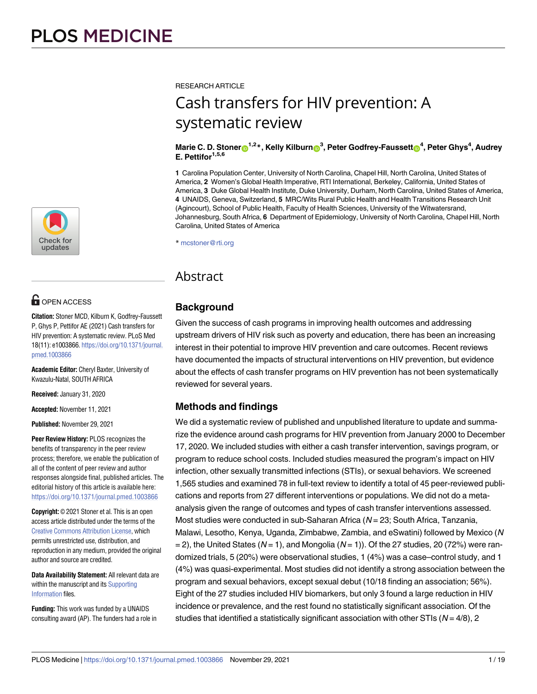

# **OPEN ACCESS**

**Citation:** Stoner MCD, Kilburn K, Godfrey-Faussett P, Ghys P, Pettifor AE (2021) Cash transfers for HIV prevention: A systematic review. PLoS Med 18(11): e1003866. [https://doi.org/10.1371/journal.](https://doi.org/10.1371/journal.pmed.1003866) [pmed.1003866](https://doi.org/10.1371/journal.pmed.1003866)

**Academic Editor:** Cheryl Baxter, University of Kwazulu-Natal, SOUTH AFRICA

**Received:** January 31, 2020

**Accepted:** November 11, 2021

**Published:** November 29, 2021

**Peer Review History:** PLOS recognizes the benefits of transparency in the peer review process; therefore, we enable the publication of all of the content of peer review and author responses alongside final, published articles. The editorial history of this article is available here: <https://doi.org/10.1371/journal.pmed.1003866>

**Copyright:** © 2021 Stoner et al. This is an open access article distributed under the terms of the Creative Commons [Attribution](http://creativecommons.org/licenses/by/4.0/) License, which permits unrestricted use, distribution, and reproduction in any medium, provided the original author and source are credited.

**Data Availability Statement:** All relevant data are within the manuscript and its [Supporting](#page-13-0) [Information](#page-13-0) files.

**Funding:** This work was funded by a UNAIDS consulting award (AP). The funders had a role in RESEARCH ARTICLE

# Cash transfers for HIV prevention: A systematic review

#### Marie C. D. Stoner $\mathrm{e}^{1,2\,*}$ , Kelly Kilburn $\mathrm{e}^{3}$ , Peter Godfrey-Faussett $\mathrm{e}^{4}$ , Peter Ghys $^4$ , Audrey **E. Pettifor1,5,6**

**1** Carolina Population Center, University of North Carolina, Chapel Hill, North Carolina, United States of America, **2** Women's Global Health Imperative, RTI International, Berkeley, California, United States of America, **3** Duke Global Health Institute, Duke University, Durham, North Carolina, United States of America, **4** UNAIDS, Geneva, Switzerland, **5** MRC/Wits Rural Public Health and Health Transitions Research Unit (Agincourt), School of Public Health, Faculty of Health Sciences, University of the Witwatersrand, Johannesburg, South Africa, **6** Department of Epidemiology, University of North Carolina, Chapel Hill, North Carolina, United States of America

\* mcstoner@rti.org

# Abstract

# **Background**

*AU*Given: *Plea* the*seco* success *nfirmth*of*ata*cash *llheadi* programs *nglevelsa*in*rere* improving *presente*health *dcorrect*outcomes *ly:* and addressing upstream drivers of HIV risk such as poverty and education, there has been an increasing interest in their potential to improve HIV prevention and care outcomes. Recent reviews have documented the impacts of structural interventions on HIV prevention, but evidence about the effects of cash transfer programs on HIV prevention has not been systematically reviewed for several years.

# **Methods and findings**

We did a systematic review of published and unpublished literature to update and summarize the evidence around cash programs for HIV prevention from January 2000 to December 17, 2020. We included studies with either a cash transfer intervention, savings program, or program to reduce school costs. Included studies measured the program's impact on HIV infection, other sexually transmitted infections (STIs), or sexual behaviors. We screened 1,565 studies and examined 78 in full-text review to identify a total of 45 peer-reviewed publications and reports from 27 different interventions or populations. We did not do a metaanalysis given the range of outcomes and types of cash transfer interventions assessed. Most studies were conducted in sub-Saharan Africa  $(N = 23)$ ; South Africa, Tanzania, Malawi, Lesotho, Kenya, Uganda, Zimbabwe, Zambia, and eSwatini) followed by Mexico (N  $= 2$ ), the United States (N = 1), and Mongolia (N = 1)). Of the 27 studies, 20 (72%) were randomized trials, 5 (20%) were observational studies, 1 (4%) was a case–control study, and 1 (4%) was quasi-experimental. Most studies did not identify a strong association between the program and sexual behaviors, except sexual debut (10/18 finding an association; 56%). Eight of the 27 studies included HIV biomarkers, but only 3 found a large reduction in HIV incidence or prevalence, and the rest found no statistically significant association. Of the studies that identified a statistically significant association with other STIs ( $N = 4/8$ ), 2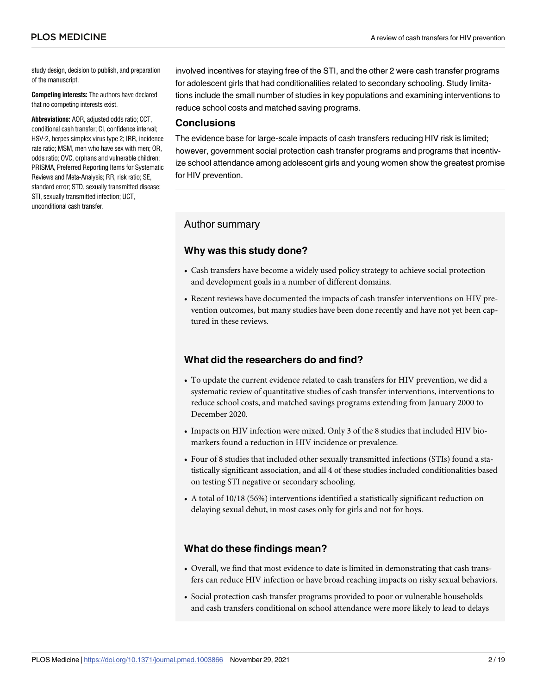study design, decision to publish, and preparation of the manuscript.

**Competing interests:** The authors have declared that no competing interests exist.

**Abbreviations:** AOR, adjusted odds ratio; CCT, conditional cash transfer; CI, confidence interval; HSV-2, herpes simplex virus type 2; IRR, incidence rate ratio; MSM, men who have sex with men; OR, odds ratio; OVC, orphans and vulnerable children; PRISMA, Preferred Reporting Items for Systematic Reviews and Meta-Analysis; RR, risk ratio; SE, standard error; STD, sexually transmitted disease; STI, sexually transmitted infection; UCT, unconditional cash transfer.

involved incentives for staying free of the STI, and the other 2 were cash transfer programs for adolescent girls that had conditionalities related to secondary schooling. Study limitations include the small number of studies in key populations and examining interventions to reduce school costs and matched saving programs.

### **Conclusions**

The evidence base for large-scale impacts of cash transfers reducing HIV risk is limited; however, government social protection cash transfer programs and programs that incentivize school attendance among adolescent girls and young women show the greatest promise for HIV prevention.

#### Author summary

## **Why was this study done?**

- Cash transfers have become a widely used policy strategy to achieve social protection and development goals in a number of different domains.
- Recent reviews have documented the impacts of cash transfer interventions on HIV prevention outcomes, but many studies have been done recently and have not yet been captured in these reviews.

#### **What did the researchers do and find?**

- To update the current evidence related to cash transfers for HIV prevention, we did a systematic review of quantitative studies of cash transfer interventions, interventions to reduce school costs, and matched savings programs extending from January 2000 to December 2020.
- Impacts on HIV infection were mixed. Only 3 of the 8 studies that included HIV biomarkers found a reduction in HIV incidence or prevalence.
- Four of 8 studies that included other sexually transmitted infections (STIs) found a statistically significant association, and all 4 of these studies included conditionalities based on testing STI negative or secondary schooling.
- A total of 10/18 (56%) interventions identified a statistically significant reduction on delaying sexual debut, in most cases only for girls and not for boys.

### **What do these findings mean?**

- Overall, we find that most evidence to date is limited in demonstrating that cash transfers can reduce HIV infection or have broad reaching impacts on risky sexual behaviors.
- Social protection cash transfer programs provided to poor or vulnerable households and cash transfers conditional on school attendance were more likely to lead to delays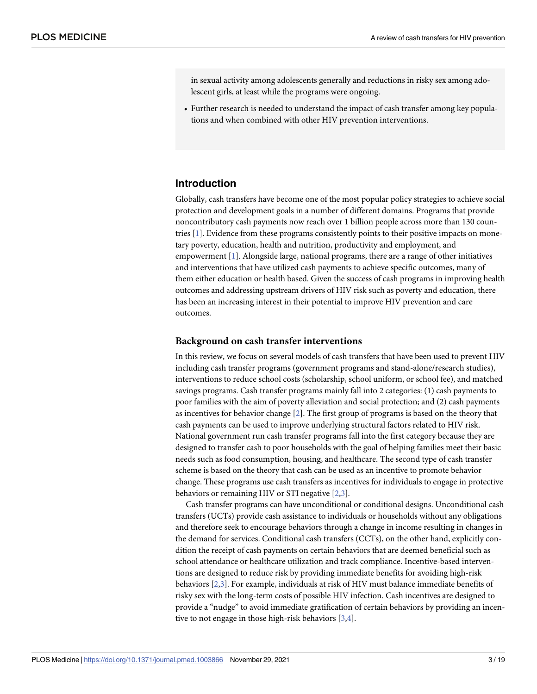<span id="page-2-0"></span>in sexual activity among adolescents generally and reductions in risky sex among adolescent girls, at least while the programs were ongoing.

• Further research is needed to understand the impact of cash transfer among key populations and when combined with other HIV prevention interventions.

# **Introduction**

Globally, cash transfers have become one of the most popular policy strategies to achieve social protection and development goals in a number of different domains. Programs that provide noncontributory cash payments now reach over 1 billion people across more than 130 countries [[1\]](#page-14-0). Evidence from these programs consistently points to their positive impacts on monetary poverty, education, health and nutrition, productivity and employment, and empowerment [[1\]](#page-14-0). Alongside large, national programs, there are a range of other initiatives and interventions that have utilized cash payments to achieve specific outcomes, many of them either education or health based. Given the success of cash programs in improving health outcomes and addressing upstream drivers of HIV risk such as poverty and education, there has been an increasing interest in their potential to improve HIV prevention and care outcomes.

#### **Background on cash transfer interventions**

In this review, we focus on several models of cash transfers that have been used to prevent HIV including cash transfer programs (government programs and stand-alone/research studies), interventions to reduce school costs (scholarship, school uniform, or school fee), and matched savings programs. Cash transfer programs mainly fall into 2 categories: (1) cash payments to poor families with the aim of poverty alleviation and social protection; and (2) cash payments as incentives for behavior change [\[2](#page-14-0)]. The first group of programs is based on the theory that cash payments can be used to improve underlying structural factors related to HIV risk. National government run cash transfer programs fall into the first category because they are designed to transfer cash to poor households with the goal of helping families meet their basic needs such as food consumption, housing, and healthcare. The second type of cash transfer scheme is based on the theory that cash can be used as an incentive to promote behavior change. These programs use cash transfers as incentives for individuals to engage in protective behaviors or remaining HIV or STI negative [[2,3\]](#page-14-0).

Cash transfer programs can have unconditional or conditional designs. Unconditional cash transfers (UCTs) provide cash assistance to individuals or households without any obligations and therefore seek to encourage behaviors through a change in income resulting in changes in the demand for services. Conditional cash transfers (CCTs), on the other hand, explicitly condition the receipt of cash payments on certain behaviors that are deemed beneficial such as school attendance or healthcare utilization and track compliance. Incentive-based interventions are designed to reduce risk by providing immediate benefits for avoiding high-risk behaviors [\[2,3\]](#page-14-0). For example, individuals at risk of HIV must balance immediate benefits of risky sex with the long-term costs of possible HIV infection. Cash incentives are designed to provide a "nudge" to avoid immediate gratification of certain behaviors by providing an incentive to not engage in those high-risk behaviors [[3,4\]](#page-14-0).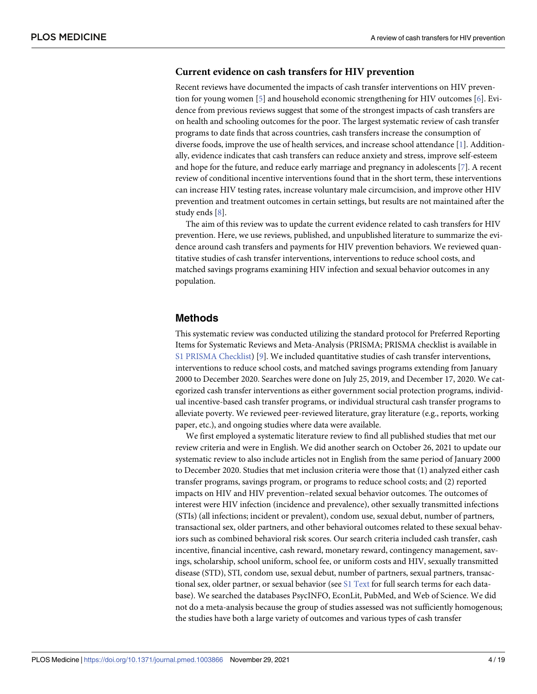#### <span id="page-3-0"></span>**Current evidence on cash transfers for HIV prevention**

Recent reviews have documented the impacts of cash transfer interventions on HIV prevention for young women [[5\]](#page-14-0) and household economic strengthening for HIV outcomes [[6\]](#page-14-0). Evidence from previous reviews suggest that some of the strongest impacts of cash transfers are on health and schooling outcomes for the poor. The largest systematic review of cash transfer programs to date finds that across countries, cash transfers increase the consumption of diverse foods, improve the use of health services, and increase school attendance [[1](#page-14-0)]. Additionally, evidence indicates that cash transfers can reduce anxiety and stress, improve self-esteem and hope for the future, and reduce early marriage and pregnancy in adolescents [[7](#page-14-0)]. A recent review of conditional incentive interventions found that in the short term, these interventions can increase HIV testing rates, increase voluntary male circumcision, and improve other HIV prevention and treatment outcomes in certain settings, but results are not maintained after the study ends [\[8\]](#page-14-0).

The aim of this review was to update the current evidence related to cash transfers for HIV prevention. Here, we use reviews, published, and unpublished literature to summarize the evidence around cash transfers and payments for HIV prevention behaviors. We reviewed quantitative studies of cash transfer interventions, interventions to reduce school costs, and matched savings programs examining HIV infection and sexual behavior outcomes in any population.

### **Methods**

This systematic review was conducted utilizing the standard protocol for Preferred Reporting Items for Systematic Reviews and Meta-Analysis (PRISMA; PRISMA checklist is available in S1 PRISMA [Checklist\)](#page-13-0) [[9](#page-14-0)]. We included quantitative studies of cash transfer interventions, interventions to reduce school costs, and matched savings programs extending from January 2000 to December 2020. Searches were done on July 25, 2019, and December 17, 2020. We categorized cash transfer interventions as either government social protection programs, individual incentive-based cash transfer programs, or individual structural cash transfer programs to alleviate poverty. We reviewed peer-reviewed literature, gray literature (e.g., reports, working paper, etc.), and ongoing studies where data were available.

We first employed a systematic literature review to find all published studies that met our review criteria and were in English. We did another search on October 26, 2021 to update our systematic review to also include articles not in English from the same period of January 2000 to December 2020. Studies that met inclusion criteria were those that (1) analyzed either cash transfer programs, savings program, or programs to reduce school costs; and (2) reported impacts on HIV and HIV prevention–related sexual behavior outcomes. The outcomes of interest were HIV infection (incidence and prevalence), other sexually transmitted infections (STIs) (all infections; incident or prevalent), condom use, sexual debut, number of partners, transactional sex, older partners, and other behavioral outcomes related to these sexual behaviors such as combined behavioral risk scores. Our search criteria included cash transfer, cash incentive, financial incentive, cash reward, monetary reward, contingency management, savings, scholarship, school uniform, school fee, or uniform costs and HIV, sexually transmitted disease (STD), STI, condom use, sexual debut, number of partners, sexual partners, transactional sex, older partner, or sexual behavior (see S1 [Text](#page-13-0) for full search terms for each database). We searched the databases PsycINFO, EconLit, PubMed, and Web of Science. We did not do a meta-analysis because the group of studies assessed was not sufficiently homogenous; the studies have both a large variety of outcomes and various types of cash transfer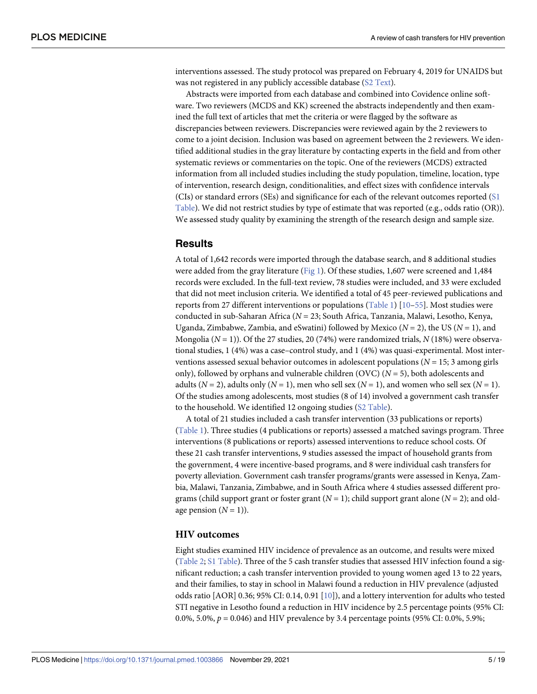<span id="page-4-0"></span>interventions assessed. The study protocol was prepared on February 4, 2019 for UNAIDS but was not registered in any publicly accessible database (S2 [Text\)](#page-14-0).

Abstracts were imported from each database and combined into Covidence online software. Two reviewers (MCDS and KK) screened the abstracts independently and then examined the full text of articles that met the criteria or were flagged by the software as discrepancies between reviewers. Discrepancies were reviewed again by the 2 reviewers to come to a joint decision. Inclusion was based on agreement between the 2 reviewers. We identified additional studies in the gray literature by contacting experts in the field and from other systematic reviews or commentaries on the topic. One of the reviewers (MCDS) extracted information from all included studies including the study population, timeline, location, type of intervention, research design, conditionalities, and effect sizes with confidence intervals (CIs) or standard errors (SEs) and significance for each of the relevant outcomes reported ([S1](#page-13-0) [Table](#page-13-0)). We did not restrict studies by type of estimate that was reported (e.g., odds ratio (OR)). We assessed study quality by examining the strength of the research design and sample size.

# **Results**

A total of 1,642 records were imported through the database search, and 8 additional studies were added from the gray literature [\(Fig](#page-5-0) 1). Of these studies, 1,607 were screened and 1,484 records were excluded. In the full-text review, 78 studies were included, and 33 were excluded that did not meet inclusion criteria. We identified a total of 45 peer-reviewed publications and reports from 27 different interventions or populations [\(Table](#page-6-0) 1) [\[10](#page-15-0)[–55\]](#page-17-0). Most studies were conducted in sub-Saharan Africa (*N* = 23; South Africa, Tanzania, Malawi, Lesotho, Kenya, Uganda, Zimbabwe, Zambia, and eSwatini) followed by Mexico (*N* = 2), the US (*N* = 1), and Mongolia (*N* = 1)). Of the 27 studies, 20 (74%) were randomized trials, *N* (18%) were observational studies, 1 (4%) was a case–control study, and 1 (4%) was quasi-experimental. Most interventions assessed sexual behavior outcomes in adolescent populations (*N* = 15; 3 among girls only), followed by orphans and vulnerable children (OVC)  $(N = 5)$ , both adolescents and adults ( $N = 2$ ), adults only ( $N = 1$ ), men who sell sex ( $N = 1$ ), and women who sell sex ( $N = 1$ ). Of the studies among adolescents, most studies (8 of 14) involved a government cash transfer to the household. We identified 12 ongoing studies (S2 [Table\)](#page-13-0).

A total of 21 studies included a cash transfer intervention (33 publications or reports) [\(Table](#page-6-0) 1). Three studies (4 publications or reports) assessed a matched savings program. Three interventions (8 publications or reports) assessed interventions to reduce school costs. Of these 21 cash transfer interventions, 9 studies assessed the impact of household grants from the government, 4 were incentive-based programs, and 8 were individual cash transfers for poverty alleviation. Government cash transfer programs/grants were assessed in Kenya, Zambia, Malawi, Tanzania, Zimbabwe, and in South Africa where 4 studies assessed different programs (child support grant or foster grant (*N* = 1); child support grant alone (*N* = 2); and oldage pension  $(N = 1)$ ).

#### **HIV outcomes**

Eight studies examined HIV incidence of prevalence as an outcome, and results were mixed [\(Table](#page-8-0) 2; S1 [Table\)](#page-13-0). Three of the 5 cash transfer studies that assessed HIV infection found a significant reduction; a cash transfer intervention provided to young women aged 13 to 22 years, and their families, to stay in school in Malawi found a reduction in HIV prevalence (adjusted odds ratio [AOR] 0.36; 95% CI: 0.14, 0.91 [\[10\]](#page-15-0)), and a lottery intervention for adults who tested STI negative in Lesotho found a reduction in HIV incidence by 2.5 percentage points (95% CI: 0.0%, 5.0%, *p* = 0.046) and HIV prevalence by 3.4 percentage points (95% CI: 0.0%, 5.9%;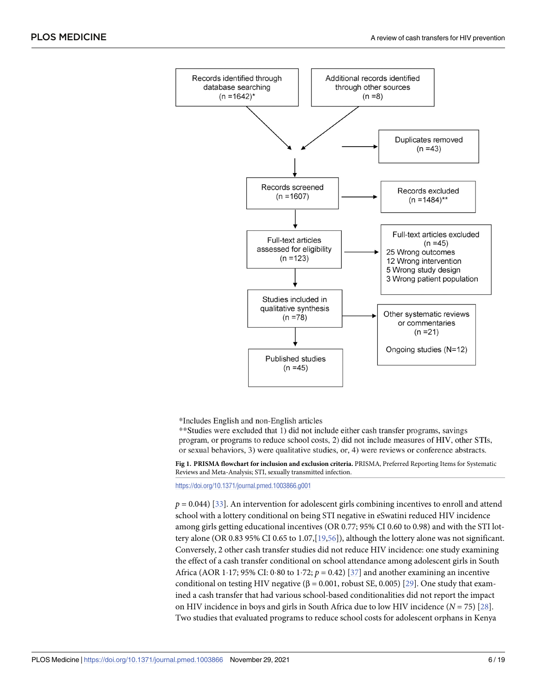<span id="page-5-0"></span>

\*Includes English and non-English articles

\*\*Studies were excluded that 1) did not include either cash transfer programs, savings program, or programs to reduce school costs, 2) did not include measures of HIV, other STIs, or sexual behaviors, 3) were qualitative studies, or, 4) were reviews or conference abstracts.

[Fig](#page-4-0) 1. PRISMA flowchart for inclusion and exclusion criteria. PRISMA, Preferred Reporting Items for Systematic Reviews and Meta-Analysis; STI, sexually transmitted infection.

<https://doi.org/10.1371/journal.pmed.1003866.g001>

 $p = 0.044$ ) [\[33\]](#page-16-0). An intervention for adolescent girls combining incentives to enroll and attend school with a lottery conditional on being STI negative in eSwatini reduced HIV incidence among girls getting educational incentives (OR 0.77; 95% CI 0.60 to 0.98) and with the STI lottery alone (OR 0.83 95% CI 0.65 to 1.07,[\[19,](#page-15-0)[56](#page-17-0)]), although the lottery alone was not significant. Conversely, 2 other cash transfer studies did not reduce HIV incidence: one study examining the effect of a cash transfer conditional on school attendance among adolescent girls in South Africa (AOR 1 $\cdot$ 17; 95% CI: 0 $\cdot$ 80 to 1 $\cdot$ 72;  $p = 0.42$ ) [[37](#page-16-0)] and another examining an incentive conditional on testing HIV negative (β = 0.001, robust SE, 0.005) [\[29\]](#page-16-0). One study that examined a cash transfer that had various school-based conditionalities did not report the impact on HIV incidence in boys and girls in South Africa due to low HIV incidence (*N* = 75) [[28](#page-16-0)]. Two studies that evaluated programs to reduce school costs for adolescent orphans in Kenya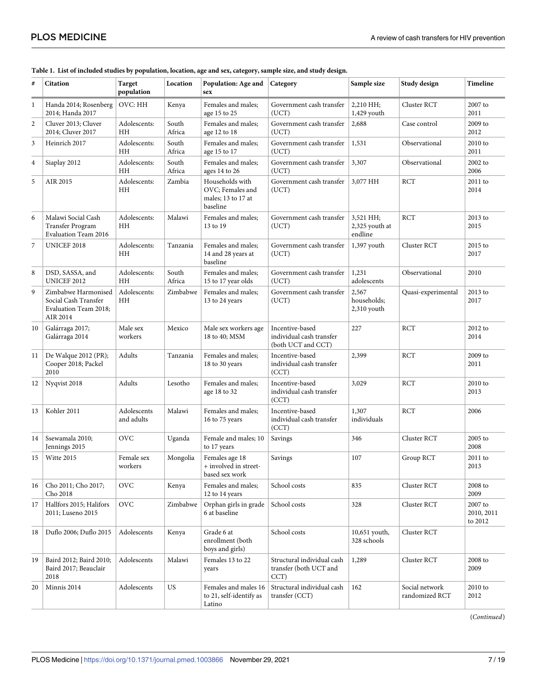| $\#$             | <b>Citation</b>                                                                  | Target<br>population      | Location        | Population: Age and<br>sex                                            | Category                                                          | Sample size<br>Study design            |                                  | <b>Timeline</b>                  |
|------------------|----------------------------------------------------------------------------------|---------------------------|-----------------|-----------------------------------------------------------------------|-------------------------------------------------------------------|----------------------------------------|----------------------------------|----------------------------------|
| 1                | Handa 2014; Rosenberg<br>2014; Handa 2017                                        | OVC: HH                   | Kenya           | Females and males:<br>age 15 to 25                                    | Government cash transfer<br>(UCT)                                 | 2,210 HH;<br>1,429 youth               | Cluster RCT                      | 2007 to<br>2011                  |
| $\boldsymbol{2}$ | Cluver 2013; Cluver<br>2014; Cluver 2017                                         | Adolescents:<br>HH        | South<br>Africa | Females and males;<br>age 12 to 18                                    | Government cash transfer<br>(UCT)                                 | 2,688                                  | Case control                     | 2009 to<br>2012                  |
| 3                | Heinrich 2017                                                                    | Adolescents:<br>ΗH        | South<br>Africa | Females and males;<br>age 15 to 17                                    | Government cash transfer<br>(UCT)                                 | 1,531                                  | Observational                    | 2010 to<br>2011                  |
| 4                | Siaplay 2012                                                                     | Adolescents:<br>HH        | South<br>Africa | Females and males:<br>ages 14 to 26                                   | Government cash transfer<br>(UCT)                                 | 3,307                                  | Observational                    | 2002 to<br>2006                  |
| 5                | AIR 2015                                                                         | Adolescents:<br>HН        | Zambia          | Households with<br>OVC; Females and<br>males; 13 to 17 at<br>baseline | Government cash transfer<br>(UCT)                                 | 3,077 HH                               | <b>RCT</b>                       | 2011 to<br>2014                  |
| 6                | Malawi Social Cash<br><b>Transfer Program</b><br>Evaluation Team 2016            | Adolescents:<br>HН        | Malawi          | Females and males;<br>13 to 19                                        | Government cash transfer<br>(UCT)                                 | 3,521 HH;<br>2,325 youth at<br>endline | <b>RCT</b>                       | 2013 to<br>2015                  |
| 7                | UNICEF 2018                                                                      | Adolescents:<br>HН        | Tanzania        | Females and males;<br>14 and 28 years at<br>baseline                  | Government cash transfer<br>(UCT)                                 | 1,397 youth                            | Cluster RCT                      | 2015 to<br>2017                  |
| 8                | DSD, SASSA, and<br>UNICEF 2012                                                   | Adolescents:<br>HH        | South<br>Africa | Females and males;<br>15 to 17 year olds                              | Government cash transfer<br>(UCT)                                 | 1,231<br>adolescents                   | Observational                    | 2010                             |
| 9                | Zimbabwe Harmonised<br>Social Cash Transfer<br>Evaluation Team 2018;<br>AIR 2014 | Adolescents:<br>HH        | Zimbabwe        | Females and males;<br>13 to 24 years                                  | Government cash transfer<br>(UCT)                                 | 2,567<br>households;<br>2,310 youth    | Quasi-experimental               | 2013 to<br>2017                  |
| 10               | Galárraga 2017;<br>Galárraga 2014                                                | Male sex<br>workers       | Mexico          | Male sex workers age<br>18 to 40; MSM                                 | Incentive-based<br>individual cash transfer<br>(both UCT and CCT) | 227                                    | <b>RCT</b>                       | 2012 to<br>2014                  |
| 11               | De Walque 2012 (PR);<br>Cooper 2018; Packel<br>2010                              | Adults                    | Tanzania        | Females and males;<br>18 to 30 years                                  | Incentive-based<br>individual cash transfer<br>(CCT)              | 2,399                                  | <b>RCT</b>                       | 2009 to<br>2011                  |
| 12               | Nyqvist 2018                                                                     | Adults                    | Lesotho         | Females and males;<br>age 18 to 32                                    | Incentive-based<br>individual cash transfer<br>(CCT)              | 3,029                                  | <b>RCT</b>                       | 2010 to<br>2013                  |
| 13               | Kohler 2011                                                                      | Adolescents<br>and adults | Malawi          | Females and males;<br>16 to 75 years                                  | Incentive-based<br>individual cash transfer<br>(CCT)              | 1,307<br>individuals                   | <b>RCT</b>                       | 2006                             |
| 14               | Ssewamala 2010;<br>Jennings 2015                                                 | OVC                       | Uganda          | Female and males; 10<br>to 17 years                                   | Savings                                                           | 346                                    | Cluster RCT                      | 2005 to<br>2008                  |
| 15               | Witte 2015                                                                       | Female sex<br>workers     | Mongolia        | Females age 18<br>+ involved in street-<br>based sex work             | Savings                                                           | 107                                    | Group RCT                        | 2011 to<br>2013                  |
| 16               | Cho 2011; Cho 2017;<br>Cho 2018                                                  | <b>OVC</b>                | Kenya           | Females and males:<br>12 to 14 years                                  | School costs                                                      | 835                                    | Cluster RCT                      | 2008 to<br>2009                  |
| 17               | Hallfors 2015; Halifors<br>2011; Luseno 2015                                     | <b>OVC</b>                | Zimbabwe        | Orphan girls in grade<br>6 at baseline                                | School costs                                                      | 328                                    | Cluster RCT                      | 2007 to<br>2010, 2011<br>to 2012 |
| 18               | Duflo 2006; Duflo 2015                                                           | Adolescents               | Kenya           | Grade 6 at<br>enrollment (both<br>boys and girls)                     | School costs                                                      | 10,651 youth,<br>328 schools           | Cluster RCT                      |                                  |
| 19               | Baird 2012; Baird 2010;<br>Baird 2017; Beauclair<br>2018                         | Adolescents               | Malawi          | Females 13 to 22<br>years                                             | Structural individual cash<br>transfer (both UCT and<br>CCT)      | 1,289                                  | Cluster RCT                      | 2008 to<br>2009                  |
| 20               | Minnis 2014                                                                      | Adolescents               | US              | Females and males 16<br>to 21, self-identify as<br>Latino             | Structural individual cash<br>transfer (CCT)                      | 162                                    | Social network<br>randomized RCT | 2010 to<br>2012                  |

#### <span id="page-6-0"></span>[Table](#page-4-0) 1. List of included studies by population, location, age and sex, category, sample size, and study design.

(*Continued*)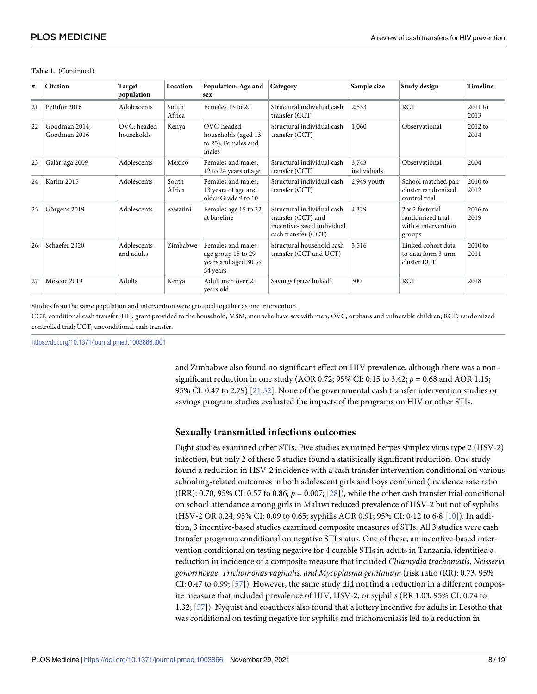| #   | <b>Citation</b>               | Target<br>population      | Location        | Population: Age and<br>sex                                                  | Category                                                                                              | Sample size          | Study design                                                                | <b>Timeline</b>   |  |
|-----|-------------------------------|---------------------------|-----------------|-----------------------------------------------------------------------------|-------------------------------------------------------------------------------------------------------|----------------------|-----------------------------------------------------------------------------|-------------------|--|
| 21  | Pettifor 2016                 | Adolescents               | South<br>Africa | Females 13 to 20                                                            | Structural individual cash<br>transfer (CCT)                                                          | 2,533                | <b>RCT</b>                                                                  | 2011 to<br>2013   |  |
| 22  | Goodman 2014;<br>Goodman 2016 | OVC: headed<br>households | Kenya           | OVC-headed<br>households (aged 13<br>to 25); Females and<br>males           | Structural individual cash<br>transfer (CCT)                                                          | 1,060                | Observational                                                               | $2012$ to<br>2014 |  |
| 23  | Galárraga 2009                | Adolescents               | Mexico          | Females and males:<br>12 to 24 years of age                                 | Structural individual cash<br>transfer (CCT)                                                          | 3,743<br>individuals | Observational                                                               | 2004              |  |
| 24  | Karim 2015                    | Adolescents               | South<br>Africa | Females and males:<br>13 years of age and<br>older Grade 9 to 10            | Structural individual cash<br>transfer (CCT)                                                          | 2,949 youth          | School matched pair<br>cluster randomized<br>control trial                  | 2010 to<br>2012   |  |
| 25  | Görgens 2019                  | Adolescents               | eSwatini        | Females age 15 to 22<br>at baseline                                         | Structural individual cash<br>transfer (CCT) and<br>incentive-based individual<br>cash transfer (CCT) | 4,329                | $2 \times 2$ factorial<br>randomized trial<br>with 4 intervention<br>groups | $2016$ to<br>2019 |  |
| 26. | Schaefer 2020                 | Adolescents<br>and adults | Zimbabwe        | Females and males<br>age group 15 to 29<br>years and aged 30 to<br>54 years | Structural household cash<br>transfer (CCT and UCT)                                                   | 3,516                | Linked cohort data<br>to data form 3-arm<br>cluster RCT                     | $2010$ to<br>2011 |  |
| 27  | Moscoe 2019                   | Adults                    | Kenya           | Adult men over 21<br>vears old                                              | Savings (prize linked)                                                                                | 300                  | <b>RCT</b>                                                                  | 2018              |  |

#### <span id="page-7-0"></span>**Table 1.** (Continued)

Studies from the same population and intervention were grouped together as one intervention.

CCT, conditional cash transfer; HH, grant provided to the household; MSM, men who have sex with men; OVC, orphans and vulnerable children; RCT, randomized controlled trial; UCT, unconditional cash transfer.

<https://doi.org/10.1371/journal.pmed.1003866.t001>

and Zimbabwe also found no significant effect on HIV prevalence, although there was a nonsignificant reduction in one study (AOR 0.72; 95% CI: 0.15 to 3.42; *p* = 0.68 and AOR 1.15; 95% CI: 0.47 to 2.79) [\[21,](#page-15-0)[52\]](#page-17-0). None of the governmental cash transfer intervention studies or savings program studies evaluated the impacts of the programs on HIV or other STIs.

#### **Sexually transmitted infections outcomes**

Eight studies examined other STIs. Five studies examined herpes simplex virus type 2 (HSV-2) infection, but only 2 of these 5 studies found a statistically significant reduction. One study found a reduction in HSV-2 incidence with a cash transfer intervention conditional on various schooling-related outcomes in both adolescent girls and boys combined (incidence rate ratio (IRR): 0.70, 95% CI: 0.57 to 0.86, *p* = 0.007; [[28](#page-16-0)]), while the other cash transfer trial conditional on school attendance among girls in Malawi reduced prevalence of HSV-2 but not of syphilis (HSV-2 OR 0.24, 95% CI: 0.09 to 0.65; syphilis AOR 0.91; 95% CI: 0.12 to 6.8 [[10](#page-15-0)]). In addition, 3 incentive-based studies examined composite measures of STIs. All 3 studies were cash transfer programs conditional on negative STI status. One of these, an incentive-based intervention conditional on testing negative for 4 curable STIs in adults in Tanzania, identified a reduction in incidence of a composite measure that included *Chlamydia trachomatis*, *Neisseria gonorrhoeae*, *Trichomonas vaginalis*, *and Mycoplasma genitalium* (risk ratio (RR): 0.73, 95% CI: 0.47 to 0.99; [[57](#page-17-0)]). However, the same study did not find a reduction in a different composite measure that included prevalence of HIV, HSV-2, or syphilis (RR 1.03, 95% CI: 0.74 to 1.32; [\[57\]](#page-17-0)). Nyquist and coauthors also found that a lottery incentive for adults in Lesotho that was conditional on testing negative for syphilis and trichomoniasis led to a reduction in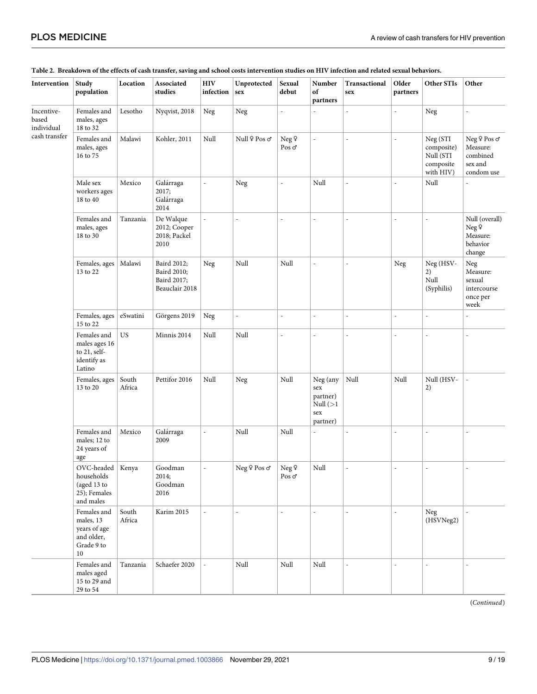| Intervention                      | Study<br>population                                                        | Location        | Associated<br>studies                                       | $\rm{HIV}$<br>infection | Unprotected<br>sex                       | Sexual<br>debut                   | Number<br>of<br>partners                                      | Transactional<br>sex | Older<br>partners | Other STIs                                                    | Other                                                         |
|-----------------------------------|----------------------------------------------------------------------------|-----------------|-------------------------------------------------------------|-------------------------|------------------------------------------|-----------------------------------|---------------------------------------------------------------|----------------------|-------------------|---------------------------------------------------------------|---------------------------------------------------------------|
| Incentive-<br>based<br>individual | Females and<br>males, ages<br>18 to 32                                     | Lesotho         | Nyqvist, 2018                                               | Neg                     | Neg                                      | L,                                |                                                               |                      | $\overline{a}$    | Neg                                                           |                                                               |
| cash transfer                     | Females and<br>males, ages<br>16 to 75                                     | Malawi          | Kohler, 2011                                                | Null                    | Null 9 Pos o'                            | Neg 9<br>Pos $\sigma$             | ÷,                                                            | $\overline{a}$       | L,                | Neg (STI<br>composite)<br>Null (STI<br>composite<br>with HIV) | Neg ♀ Pos o*<br>Measure:<br>combined<br>sex and<br>condom use |
|                                   | Male sex<br>workers ages<br>18 to 40                                       | Mexico          | Galárraga<br>2017;<br>Galárraga<br>2014                     | $\overline{a}$          | Neg                                      | $\overline{\phantom{a}}$          | Null                                                          | $\overline{a}$       | ÷,                | Null                                                          |                                                               |
|                                   | Females and<br>males, ages<br>18 to 30                                     | Tanzania        | De Walque<br>2012; Cooper<br>2018; Packel<br>2010           |                         |                                          | J.                                | $\overline{a}$                                                |                      | L,                |                                                               | Null (overall)<br>Neg 9<br>Measure:<br>behavior<br>change     |
|                                   | Females, ages<br>13 to 22                                                  | Malawi          | Baird 2012;<br>Baird 2010;<br>Baird 2017;<br>Beauclair 2018 | ${\hbox{Neg}}$          | Null                                     | Null                              | $\overline{a}$                                                | $\overline{a}$       | Neg               | Neg (HSV-<br>2)<br>Null<br>(Syphilis)                         | Neg<br>Measure:<br>sexual<br>intercourse<br>once per<br>week  |
|                                   | Females, ages<br>15 to 22                                                  | eSwatini        | Görgens 2019                                                | ${\hbox{Neg}}$          | $\overline{\phantom{a}}$                 | $\overline{\phantom{a}}$          | $\overline{a}$                                                | $\overline{a}$       | $\overline{a}$    | $\overline{a}$                                                |                                                               |
|                                   | Females and<br>males ages 16<br>to 21, self-<br>identify as<br>Latino      | <b>US</b>       | Minnis 2014                                                 | Null                    | Null                                     | $\overline{a}$                    | $\overline{\phantom{a}}$                                      | $\overline{a}$       | ÷,                | ä,                                                            | $\overline{\phantom{a}}$                                      |
|                                   | Females, ages<br>13 to 20                                                  | South<br>Africa | Pettifor 2016                                               | Null                    | Neg                                      | Null                              | Neg (any<br>sex<br>partner)<br>Null $(>1)$<br>sex<br>partner) | Null                 | Null              | Null (HSV-<br>2)                                              | $\overline{a}$                                                |
|                                   | Females and<br>males; 12 to<br>24 years of<br>age                          | Mexico          | Galárraga<br>2009                                           | $\overline{a}$          | Null                                     | Null                              |                                                               |                      | $\overline{a}$    | $\overline{a}$                                                | ÷                                                             |
|                                   | OVC-headed<br>households<br>(aged 13 to<br>25); Females<br>and males       | Kenya           | Goodman<br>2014;<br>Goodman<br>2016                         |                         | ${\hbox{Neg\,}}\,{\hbox{Pos\,}}\,\sigma$ | $\rm Neg\> \sf 9$<br>Pos $\sigma$ | Null                                                          |                      |                   |                                                               |                                                               |
|                                   | Females and<br>males, 13<br>years of age<br>and older,<br>Grade 9 to<br>10 | South<br>Africa | Karim 2015                                                  |                         |                                          | L.                                |                                                               | $\overline{a}$       | $\overline{a}$    | Neg<br>(HSVNeg2)                                              |                                                               |
|                                   | Females and<br>males aged<br>15 to 29 and<br>29 to 54                      | Tanzania        | Schaefer 2020                                               |                         | Null                                     | $\mbox{Null}$                     | $\rm Null$                                                    | $\overline{a}$       | L,                | ÷,                                                            |                                                               |

#### <span id="page-8-0"></span>[Table](#page-4-0) 2. Breakdown of the effects of cash transfer, saving and school costs intervention studies on HIV infection and related sexual behaviors.

(*Continued*)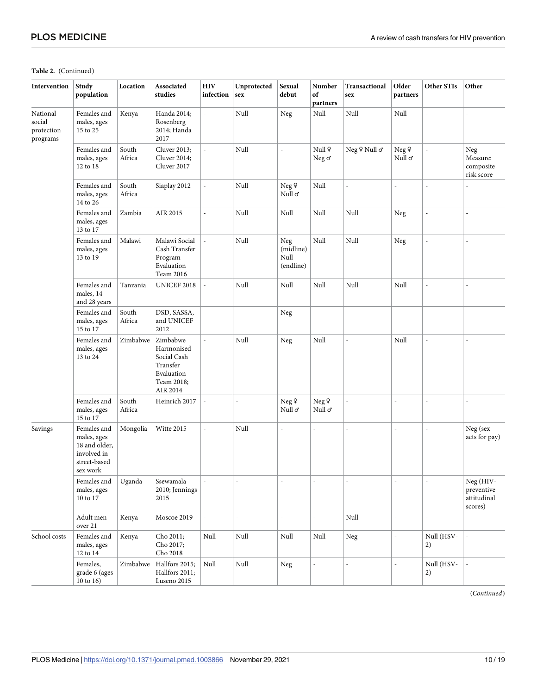#### **Table 2.** (Continued)

| Intervention                                 | Study<br>population                                                                    | Location        | Associated<br>studies                                                                     | <b>HIV</b><br>infection  | Unprotected<br>sex | Sexual<br>debut                             | Number<br>of<br>partners | <b>Transactional</b><br>sex | Older<br>partners      | Other STIs       | Other                                             |
|----------------------------------------------|----------------------------------------------------------------------------------------|-----------------|-------------------------------------------------------------------------------------------|--------------------------|--------------------|---------------------------------------------|--------------------------|-----------------------------|------------------------|------------------|---------------------------------------------------|
| National<br>social<br>protection<br>programs | Females and<br>males, ages<br>15 to 25                                                 | Kenya           | Handa 2014;<br>Rosenberg<br>2014; Handa<br>2017                                           | $\overline{\phantom{a}}$ | Null               | Neg                                         | Null                     | Null                        | Null                   | $\overline{a}$   | $\overline{a}$                                    |
|                                              | Females and<br>males, ages<br>12 to 18                                                 | South<br>Africa | <b>Cluver 2013;</b><br>Cluver 2014;<br>Cluver 2017                                        | $\overline{a}$           | Null               | ÷,                                          | Null 9<br>Neg o'         | Neg 9 Null o'               | Neg 9<br>Null $\sigma$ |                  | Neg<br>Measure:<br>composite<br>risk score        |
|                                              | Females and<br>males, ages<br>14 to 26                                                 | South<br>Africa | Siaplay 2012                                                                              | $\overline{a}$           | Null               | Neg 9<br>Null o                             | Null                     |                             | $\overline{a}$         |                  |                                                   |
|                                              | Females and<br>males, ages<br>13 to 17                                                 | Zambia          | AIR 2015                                                                                  | $\overline{a}$           | Null               | Null                                        | Null                     | Null                        | Neg                    | $\overline{a}$   | L.                                                |
|                                              | Females and<br>males, ages<br>13 to 19                                                 | Malawi          | Malawi Social<br>Cash Transfer<br>Program<br>Evaluation<br>Team 2016                      | $\overline{a}$           | Null               | Neg<br>(midline)<br>$\rm Null$<br>(endline) | Null                     | Null                        | Neg                    | $\overline{a}$   | $\overline{a}$                                    |
|                                              | Females and<br>males, 14<br>and 28 years                                               | Tanzania        | UNICEF 2018                                                                               | $\overline{a}$           | Null               | Null                                        | Null                     | Null                        | Null                   | $\overline{a}$   | L                                                 |
|                                              | Females and<br>males, ages<br>15 to 17                                                 | South<br>Africa | DSD, SASSA,<br>and UNICEF<br>2012                                                         | $\overline{a}$           | Ĭ.                 | Neg                                         | $\frac{1}{2}$            | L,                          | $\overline{a}$         | $\overline{a}$   | ÷,                                                |
|                                              | Females and<br>males, ages<br>13 to 24                                                 | Zimbabwe        | Zimbabwe<br>Harmonised<br>Social Cash<br>Transfer<br>Evaluation<br>Team 2018;<br>AIR 2014 | $\overline{a}$           | Null               | Neg                                         | Null                     | $\overline{a}$              | Null                   | $\overline{a}$   | $\overline{a}$                                    |
|                                              | Females and<br>males, ages<br>15 to 17                                                 | South<br>Africa | Heinrich 2017                                                                             | $\overline{a}$           | $\overline{a}$     | Neg 9<br>Null o'                            | Neg 9<br>Null ơ          | L                           | $\overline{a}$         | $\overline{a}$   | $\overline{a}$                                    |
| Savings                                      | Females and<br>males, ages<br>18 and older,<br>involved in<br>street-based<br>sex work | Mongolia        | Witte 2015                                                                                | $\overline{a}$           | Null               | $\frac{1}{2}$                               | ÷,                       | $\overline{a}$              | $\overline{a}$         | $\overline{a}$   | Neg (sex<br>acts for pay)                         |
|                                              | Females and<br>males, ages<br>10 to 17                                                 | Uganda          | Ssewamala<br>2010; Jennings<br>2015                                                       | $\overline{\phantom{a}}$ | L,                 | ÷,                                          | L,                       |                             | $\overline{a}$         | $\overline{a}$   | Neg (HIV-<br>preventive<br>attitudinal<br>scores) |
|                                              | Adult men<br>over $21\,$                                                               | Kenya           | Moscoe 2019                                                                               | $\overline{\phantom{a}}$ | $\overline{a}$     | $\overline{\phantom{a}}$                    | $\overline{a}$           | Null                        | $\overline{a}$         | $\overline{a}$   |                                                   |
| School costs                                 | Females and<br>males, ages<br>12 to 14                                                 | Kenya           | Cho 2011;<br>Cho 2017;<br>Cho $2018\,$                                                    | Null                     | Null               | Null                                        | Null                     | Neg                         | $\overline{a}$         | Null (HSV-<br>2) |                                                   |
|                                              | Females,<br>grade 6 (ages<br>10 to 16)                                                 | Zimbabwe        | Hallfors 2015;<br>Hallfors 2011;<br>Luseno 2015                                           | $\rm Null$               | Null               | Neg                                         | $\overline{a}$           | $\overline{a}$              | $\overline{a}$         | Null (HSV-<br>2) |                                                   |

(*Continued*)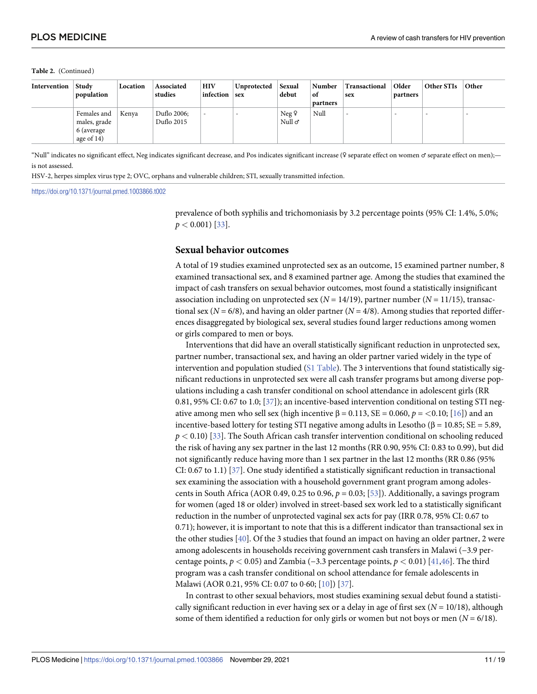#### <span id="page-10-0"></span>**Table 2.** (Continued)

| Intervention | Study<br>population                                       | Location | Associated<br>studies     | <b>HIV</b><br>infection  | Unprotected<br>$ $ sex | Sexual<br>debut       | Number<br>of<br>partners | Transactional<br>sex     | Older<br>partners        | Other STIs               | Other |
|--------------|-----------------------------------------------------------|----------|---------------------------|--------------------------|------------------------|-----------------------|--------------------------|--------------------------|--------------------------|--------------------------|-------|
|              | Females and<br>males, grade<br>6 (average<br>age of $14)$ | Kenva    | Duflo 2006;<br>Duflo 2015 | $\overline{\phantom{a}}$ | -                      | Neg9<br>Null $\sigma$ | Null                     | $\overline{\phantom{a}}$ | $\overline{\phantom{a}}$ | $\overline{\phantom{a}}$ |       |

"Null" indicates no significant effect, Neg indicates significant decrease, and Pos indicates significant increase (♀ separate effect on women ♂ separate effect on men); is not assessed.

HSV-2, herpes simplex virus type 2; OVC, orphans and vulnerable children; STI, sexually transmitted infection.

<https://doi.org/10.1371/journal.pmed.1003866.t002>

prevalence of both syphilis and trichomoniasis by 3.2 percentage points (95% CI: 1.4%, 5.0%;  $p < 0.001$ ) [\[33\]](#page-16-0).

#### **Sexual behavior outcomes**

A total of 19 studies examined unprotected sex as an outcome, 15 examined partner number, 8 examined transactional sex, and 8 examined partner age. Among the studies that examined the impact of cash transfers on sexual behavior outcomes, most found a statistically insignificant association including on unprotected sex (*N* = 14/19), partner number (*N* = 11/15), transactional sex ( $N = 6/8$ ), and having an older partner ( $N = 4/8$ ). Among studies that reported differences disaggregated by biological sex, several studies found larger reductions among women or girls compared to men or boys.

Interventions that did have an overall statistically significant reduction in unprotected sex, partner number, transactional sex, and having an older partner varied widely in the type of intervention and population studied (S1 [Table\)](#page-13-0). The 3 interventions that found statistically significant reductions in unprotected sex were all cash transfer programs but among diverse populations including a cash transfer conditional on school attendance in adolescent girls (RR 0.81, 95% CI: 0.67 to 1.0; [\[37\]](#page-16-0)); an incentive-based intervention conditional on testing STI negative among men who sell sex (high incentive  $β = 0.113$ ,  $SE = 0.060$ ,  $p = <0.10$ ; [[16](#page-15-0)]) and an incentive-based lottery for testing STI negative among adults in Lesotho (β = 10.85; SE = 5.89, *p <* 0.10) [\[33\]](#page-16-0). The South African cash transfer intervention conditional on schooling reduced the risk of having any sex partner in the last 12 months (RR 0.90, 95% CI: 0.83 to 0.99), but did not significantly reduce having more than 1 sex partner in the last 12 months (RR 0.86 (95% CI: 0.67 to 1.1) [\[37\]](#page-16-0). One study identified a statistically significant reduction in transactional sex examining the association with a household government grant program among adolescents in South Africa (AOR 0.49, 0.25 to 0.96,  $p = 0.03$ ; [\[53](#page-17-0)]). Additionally, a savings program for women (aged 18 or older) involved in street-based sex work led to a statistically significant reduction in the number of unprotected vaginal sex acts for pay (IRR 0.78, 95% CI: 0.67 to 0.71); however, it is important to note that this is a different indicator than transactional sex in the other studies [\[40\]](#page-16-0). Of the 3 studies that found an impact on having an older partner, 2 were among adolescents in households receiving government cash transfers in Malawi (−3.9 percentage points,  $p < 0.05$ ) and Zambia (−3.3 percentage points,  $p < 0.01$ ) [[41](#page-16-0)[,46\]](#page-17-0). The third program was a cash transfer conditional on school attendance for female adolescents in Malawi (AOR 0.21, 95% CI: 0.07 to 0.60; [\[10\]](#page-15-0)) [\[37\]](#page-16-0).

In contrast to other sexual behaviors, most studies examining sexual debut found a statistically significant reduction in ever having sex or a delay in age of first sex ( $N = 10/18$ ), although some of them identified a reduction for only girls or women but not boys or men  $(N = 6/18)$ .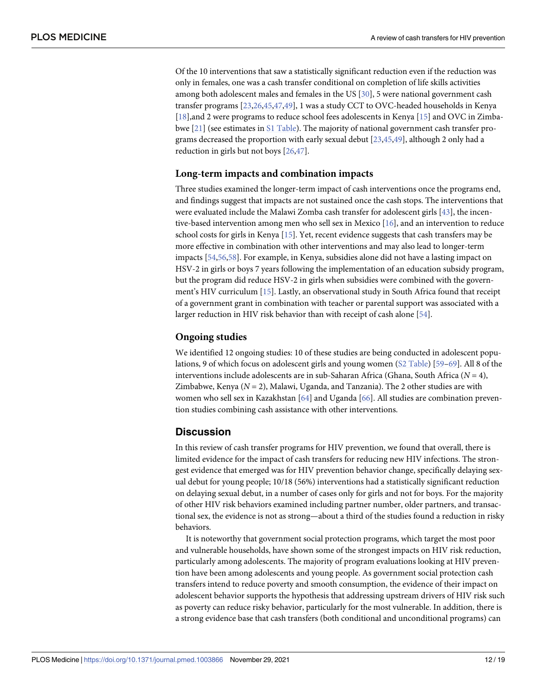<span id="page-11-0"></span>Of the 10 interventions that saw a statistically significant reduction even if the reduction was only in females, one was a cash transfer conditional on completion of life skills activities among both adolescent males and females in the US [[30](#page-16-0)], 5 were national government cash transfer programs [\[23,26](#page-15-0),[45](#page-16-0),[47,49\]](#page-17-0), 1 was a study CCT to OVC-headed households in Kenya [\[18\]](#page-15-0),and 2 were programs to reduce school fees adolescents in Kenya [\[15\]](#page-15-0) and OVC in Zimbabwe [[21](#page-15-0)] (see estimates in S1 [Table\)](#page-13-0). The majority of national government cash transfer programs decreased the proportion with early sexual debut [[23](#page-15-0),[45](#page-16-0)[,49\]](#page-17-0), although 2 only had a reduction in girls but not boys [\[26,](#page-15-0)[47](#page-17-0)].

#### **Long-term impacts and combination impacts**

Three studies examined the longer-term impact of cash interventions once the programs end, and findings suggest that impacts are not sustained once the cash stops. The interventions that were evaluated include the Malawi Zomba cash transfer for adolescent girls [[43](#page-16-0)], the incentive-based intervention among men who sell sex in Mexico [\[16\]](#page-15-0), and an intervention to reduce school costs for girls in Kenya [\[15\]](#page-15-0). Yet, recent evidence suggests that cash transfers may be more effective in combination with other interventions and may also lead to longer-term impacts [[54](#page-17-0),[56,58\]](#page-17-0). For example, in Kenya, subsidies alone did not have a lasting impact on HSV-2 in girls or boys 7 years following the implementation of an education subsidy program, but the program did reduce HSV-2 in girls when subsidies were combined with the government's HIV curriculum [[15](#page-15-0)]. Lastly, an observational study in South Africa found that receipt of a government grant in combination with teacher or parental support was associated with a larger reduction in HIV risk behavior than with receipt of cash alone [\[54\]](#page-17-0).

#### **Ongoing studies**

We identified 12 ongoing studies: 10 of these studies are being conducted in adolescent populations, 9 of which focus on adolescent girls and young women (S2 [Table](#page-13-0)) [\[59–](#page-17-0)[69](#page-18-0)]. All 8 of the interventions include adolescents are in sub-Saharan Africa (Ghana, South Africa  $(N = 4)$ , Zimbabwe, Kenya  $(N = 2)$ , Malawi, Uganda, and Tanzania). The 2 other studies are with women who sell sex in Kazakhstan [\[64\]](#page-17-0) and Uganda [[66](#page-18-0)]. All studies are combination prevention studies combining cash assistance with other interventions.

# **Discussion**

In this review of cash transfer programs for HIV prevention, we found that overall, there is limited evidence for the impact of cash transfers for reducing new HIV infections. The strongest evidence that emerged was for HIV prevention behavior change, specifically delaying sexual debut for young people; 10/18 (56%) interventions had a statistically significant reduction on delaying sexual debut, in a number of cases only for girls and not for boys. For the majority of other HIV risk behaviors examined including partner number, older partners, and transactional sex, the evidence is not as strong—about a third of the studies found a reduction in risky behaviors.

It is noteworthy that government social protection programs, which target the most poor and vulnerable households, have shown some of the strongest impacts on HIV risk reduction, particularly among adolescents. The majority of program evaluations looking at HIV prevention have been among adolescents and young people. As government social protection cash transfers intend to reduce poverty and smooth consumption, the evidence of their impact on adolescent behavior supports the hypothesis that addressing upstream drivers of HIV risk such as poverty can reduce risky behavior, particularly for the most vulnerable. In addition, there is a strong evidence base that cash transfers (both conditional and unconditional programs) can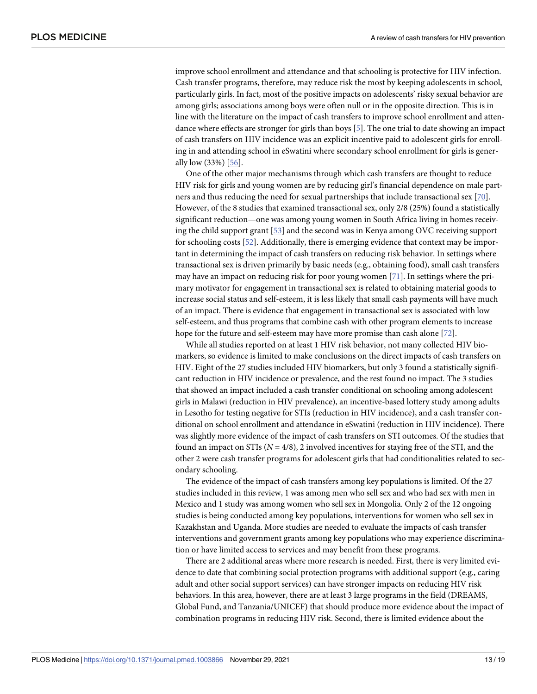<span id="page-12-0"></span>improve school enrollment and attendance and that schooling is protective for HIV infection. Cash transfer programs, therefore, may reduce risk the most by keeping adolescents in school, particularly girls. In fact, most of the positive impacts on adolescents' risky sexual behavior are among girls; associations among boys were often null or in the opposite direction. This is in line with the literature on the impact of cash transfers to improve school enrollment and attendance where effects are stronger for girls than boys [\[5\]](#page-14-0). The one trial to date showing an impact of cash transfers on HIV incidence was an explicit incentive paid to adolescent girls for enrolling in and attending school in eSwatini where secondary school enrollment for girls is generally low (33%) [\[56\]](#page-17-0).

One of the other major mechanisms through which cash transfers are thought to reduce HIV risk for girls and young women are by reducing girl's financial dependence on male partners and thus reducing the need for sexual partnerships that include transactional sex [\[70\]](#page-18-0). However, of the 8 studies that examined transactional sex, only 2/8 (25%) found a statistically significant reduction—one was among young women in South Africa living in homes receiving the child support grant [[53](#page-17-0)] and the second was in Kenya among OVC receiving support for schooling costs [[52](#page-17-0)]. Additionally, there is emerging evidence that context may be important in determining the impact of cash transfers on reducing risk behavior. In settings where transactional sex is driven primarily by basic needs (e.g., obtaining food), small cash transfers may have an impact on reducing risk for poor young women [\[71\]](#page-18-0). In settings where the primary motivator for engagement in transactional sex is related to obtaining material goods to increase social status and self-esteem, it is less likely that small cash payments will have much of an impact. There is evidence that engagement in transactional sex is associated with low self-esteem, and thus programs that combine cash with other program elements to increase hope for the future and self-esteem may have more promise than cash alone [\[72\]](#page-18-0).

While all studies reported on at least 1 HIV risk behavior, not many collected HIV biomarkers, so evidence is limited to make conclusions on the direct impacts of cash transfers on HIV. Eight of the 27 studies included HIV biomarkers, but only 3 found a statistically significant reduction in HIV incidence or prevalence, and the rest found no impact. The 3 studies that showed an impact included a cash transfer conditional on schooling among adolescent girls in Malawi (reduction in HIV prevalence), an incentive-based lottery study among adults in Lesotho for testing negative for STIs (reduction in HIV incidence), and a cash transfer conditional on school enrollment and attendance in eSwatini (reduction in HIV incidence). There was slightly more evidence of the impact of cash transfers on STI outcomes. Of the studies that found an impact on STIs  $(N = 4/8)$ , 2 involved incentives for staying free of the STI, and the other 2 were cash transfer programs for adolescent girls that had conditionalities related to secondary schooling.

The evidence of the impact of cash transfers among key populations is limited. Of the 27 studies included in this review, 1 was among men who sell sex and who had sex with men in Mexico and 1 study was among women who sell sex in Mongolia. Only 2 of the 12 ongoing studies is being conducted among key populations, interventions for women who sell sex in Kazakhstan and Uganda. More studies are needed to evaluate the impacts of cash transfer interventions and government grants among key populations who may experience discrimination or have limited access to services and may benefit from these programs.

There are 2 additional areas where more research is needed. First, there is very limited evidence to date that combining social protection programs with additional support (e.g., caring adult and other social support services) can have stronger impacts on reducing HIV risk behaviors. In this area, however, there are at least 3 large programs in the field (DREAMS, Global Fund, and Tanzania/UNICEF) that should produce more evidence about the impact of combination programs in reducing HIV risk. Second, there is limited evidence about the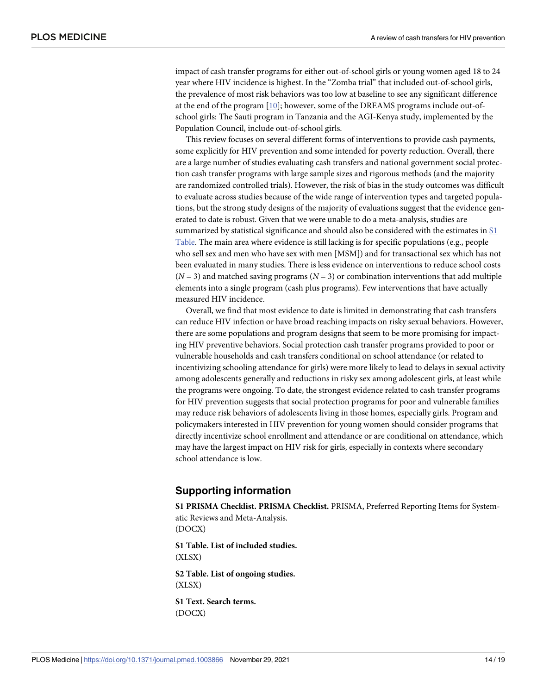<span id="page-13-0"></span>impact of cash transfer programs for either out-of-school girls or young women aged 18 to 24 year where HIV incidence is highest. In the "Zomba trial" that included out-of-school girls, the prevalence of most risk behaviors was too low at baseline to see any significant difference at the end of the program [[10](#page-15-0)]; however, some of the DREAMS programs include out-ofschool girls: The Sauti program in Tanzania and the AGI-Kenya study, implemented by the Population Council, include out-of-school girls.

This review focuses on several different forms of interventions to provide cash payments, some explicitly for HIV prevention and some intended for poverty reduction. Overall, there are a large number of studies evaluating cash transfers and national government social protection cash transfer programs with large sample sizes and rigorous methods (and the majority are randomized controlled trials). However, the risk of bias in the study outcomes was difficult to evaluate across studies because of the wide range of intervention types and targeted populations, but the strong study designs of the majority of evaluations suggest that the evidence generated to date is robust. Given that we were unable to do a meta-analysis, studies are summarized by statistical significance and should also be considered with the estimates in S1 Table. The main area where evidence is still lacking is for specific populations (e.g., people who sell sex and men who have sex with men [MSM]) and for transactional sex which has not been evaluated in many studies. There is less evidence on interventions to reduce school costs  $(N = 3)$  and matched saving programs  $(N = 3)$  or combination interventions that add multiple elements into a single program (cash plus programs). Few interventions that have actually measured HIV incidence.

Overall, we find that most evidence to date is limited in demonstrating that cash transfers can reduce HIV infection or have broad reaching impacts on risky sexual behaviors. However, there are some populations and program designs that seem to be more promising for impacting HIV preventive behaviors. Social protection cash transfer programs provided to poor or vulnerable households and cash transfers conditional on school attendance (or related to incentivizing schooling attendance for girls) were more likely to lead to delays in sexual activity among adolescents generally and reductions in risky sex among adolescent girls, at least while the programs were ongoing. To date, the strongest evidence related to cash transfer programs for HIV prevention suggests that social protection programs for poor and vulnerable families may reduce risk behaviors of adolescents living in those homes, especially girls. Program and policymakers interested in HIV prevention for young women should consider programs that directly incentivize school enrollment and attendance or are conditional on attendance, which may have the largest impact on HIV risk for girls, especially in contexts where secondary school attendance is low.

# **Supporting information**

**S1 PRISMA [Checklist](http://journals.plos.org/plosmedicine/article/asset?unique&id=info:doi/10.1371/journal.pmed.1003866.s001). PRISMA Checklist.** PRISMA, Preferred Reporting Items for Systematic Reviews and Meta-Analysis. (DOCX)

**S1 [Table.](http://journals.plos.org/plosmedicine/article/asset?unique&id=info:doi/10.1371/journal.pmed.1003866.s002) List of included studies.** (XLSX) **S2 [Table.](http://journals.plos.org/plosmedicine/article/asset?unique&id=info:doi/10.1371/journal.pmed.1003866.s003) List of ongoing studies.** (XLSX) **S1 [Text](http://journals.plos.org/plosmedicine/article/asset?unique&id=info:doi/10.1371/journal.pmed.1003866.s004). Search terms.** (DOCX)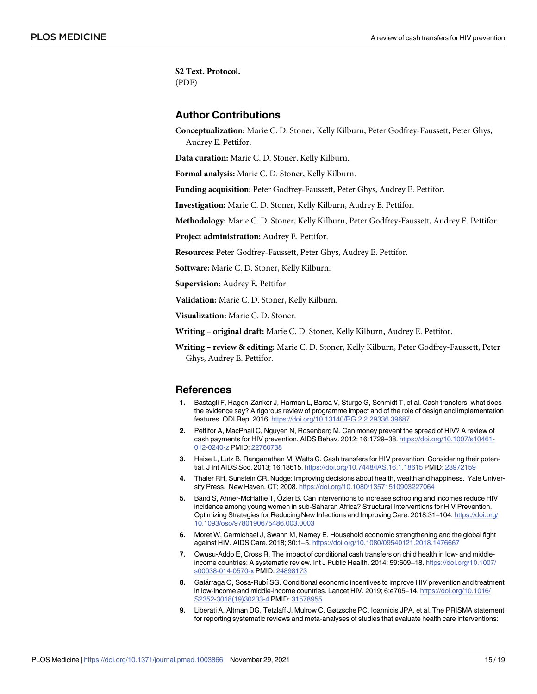<span id="page-14-0"></span>**S2 [Text](http://journals.plos.org/plosmedicine/article/asset?unique&id=info:doi/10.1371/journal.pmed.1003866.s005). Protocol.** (PDF)

# **Author Contributions**

**Conceptualization:** Marie C. D. Stoner, Kelly Kilburn, Peter Godfrey-Faussett, Peter Ghys, Audrey E. Pettifor.

**Data curation:** Marie C. D. Stoner, Kelly Kilburn.

**Formal analysis:** Marie C. D. Stoner, Kelly Kilburn.

**Funding acquisition:** Peter Godfrey-Faussett, Peter Ghys, Audrey E. Pettifor.

**Investigation:** Marie C. D. Stoner, Kelly Kilburn, Audrey E. Pettifor.

**Methodology:** Marie C. D. Stoner, Kelly Kilburn, Peter Godfrey-Faussett, Audrey E. Pettifor.

**Project administration:** Audrey E. Pettifor.

**Resources:** Peter Godfrey-Faussett, Peter Ghys, Audrey E. Pettifor.

**Software:** Marie C. D. Stoner, Kelly Kilburn.

**Supervision:** Audrey E. Pettifor.

**Validation:** Marie C. D. Stoner, Kelly Kilburn.

**Visualization:** Marie C. D. Stoner.

**Writing – original draft:** Marie C. D. Stoner, Kelly Kilburn, Audrey E. Pettifor.

**Writing – review & editing:** Marie C. D. Stoner, Kelly Kilburn, Peter Godfrey-Faussett, Peter Ghys, Audrey E. Pettifor.

#### **References**

- **[1](#page-2-0).** Bastagli F, Hagen-Zanker J, Harman L, Barca V, Sturge G, Schmidt T, et al. Cash transfers: what does the evidence say? A rigorous review of programme impact and of the role of design and implementation features. ODI Rep. 2016. <https://doi.org/10.13140/RG.2.2.29336.39687>
- **[2](#page-2-0).** Pettifor A, MacPhail C, Nguyen N, Rosenberg M. Can money prevent the spread of HIV? A review of cash payments for HIV prevention. AIDS Behav. 2012; 16:1729–38. [https://doi.org/10.1007/s10461-](https://doi.org/10.1007/s10461-012-0240-z) [012-0240-z](https://doi.org/10.1007/s10461-012-0240-z) PMID: [22760738](http://www.ncbi.nlm.nih.gov/pubmed/22760738)
- **[3](#page-2-0).** Heise L, Lutz B, Ranganathan M, Watts C. Cash transfers for HIV prevention: Considering their potential. J Int AIDS Soc. 2013; 16:18615. <https://doi.org/10.7448/IAS.16.1.18615> PMID: [23972159](http://www.ncbi.nlm.nih.gov/pubmed/23972159)
- **[4](#page-2-0).** Thaler RH, Sunstein CR. Nudge: Improving decisions about health, wealth and happiness. Yale University Press. New Haven, CT; 2008. <https://doi.org/10.1080/13571510903227064>
- **[5](#page-3-0).** Baird S, Ahner-McHaffie T, Özler B. Can interventions to increase schooling and incomes reduce HIV incidence among young women in sub-Saharan Africa? Structural Interventions for HIV Prevention. Optimizing Strategies for Reducing New Infections and Improving Care. 2018:31–104. [https://doi.org/](https://doi.org/10.1093/oso/9780190675486.003.0003) [10.1093/oso/9780190675486.003.0003](https://doi.org/10.1093/oso/9780190675486.003.0003)
- **[6](#page-3-0).** Moret W, Carmichael J, Swann M, Namey E. Household economic strengthening and the global fight against HIV. AIDS Care. 2018; 30:1–5. <https://doi.org/10.1080/09540121.2018.1476667>
- **[7](#page-3-0).** Owusu-Addo E, Cross R. The impact of conditional cash transfers on child health in low- and middleincome countries: A systematic review. Int J Public Health. 2014; 59:609–18. [https://doi.org/10.1007/](https://doi.org/10.1007/s00038-014-0570-x) [s00038-014-0570-x](https://doi.org/10.1007/s00038-014-0570-x) PMID: [24898173](http://www.ncbi.nlm.nih.gov/pubmed/24898173)
- **[8](#page-3-0).** Galárraga O, Sosa-Rubí SG. Conditional economic incentives to improve HIV prevention and treatment in low-income and middle-income countries. Lancet HIV. 2019; 6:e705–14. [https://doi.org/10.1016/](https://doi.org/10.1016/S2352-3018%2819%2930233-4) [S2352-3018\(19\)30233-4](https://doi.org/10.1016/S2352-3018%2819%2930233-4) PMID: [31578955](http://www.ncbi.nlm.nih.gov/pubmed/31578955)
- **[9](#page-3-0).** Liberati A, Altman DG, Tetzlaff J, Mulrow C, Gøtzsche PC, Ioannidis JPA, et al. The PRISMA statement for reporting systematic reviews and meta-analyses of studies that evaluate health care interventions: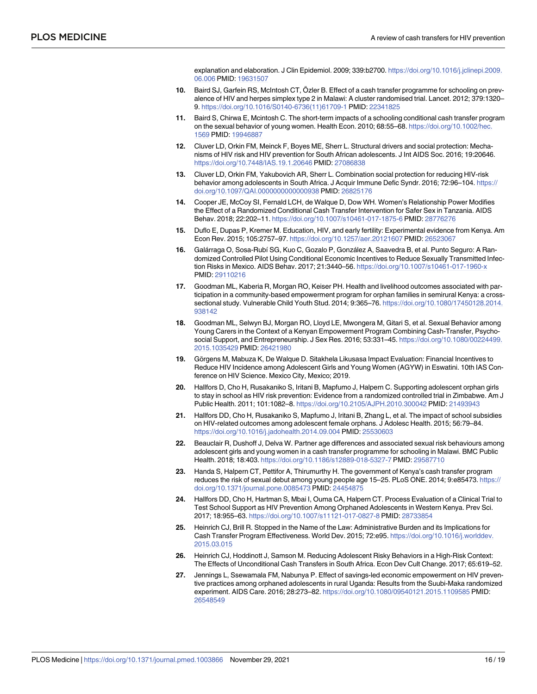explanation and elaboration. J Clin Epidemiol. 2009; 339:b2700. [https://doi.org/10.1016/j.jclinepi.2009.](https://doi.org/10.1016/j.jclinepi.2009.06.006) [06.006](https://doi.org/10.1016/j.jclinepi.2009.06.006) PMID: [19631507](http://www.ncbi.nlm.nih.gov/pubmed/19631507)

- <span id="page-15-0"></span>**[10](#page-4-0).** Baird SJ, Garfein RS, McIntosh CT, Özler B. Effect of a cash transfer programme for schooling on prevalence of HIV and herpes simplex type 2 in Malawi: A cluster randomised trial. Lancet. 2012; 379:1320– 9. [https://doi.org/10.1016/S0140-6736\(11\)61709-1](https://doi.org/10.1016/S0140-6736%2811%2961709-1) PMID: [22341825](http://www.ncbi.nlm.nih.gov/pubmed/22341825)
- **11.** Baird S, Chirwa E, Mcintosh C. The short-term impacts of a schooling conditional cash transfer program on the sexual behavior of young women. Health Econ. 2010; 68:55–68. [https://doi.org/10.1002/hec.](https://doi.org/10.1002/hec.1569) [1569](https://doi.org/10.1002/hec.1569) PMID: [19946887](http://www.ncbi.nlm.nih.gov/pubmed/19946887)
- **12.** Cluver LD, Orkin FM, Meinck F, Boyes ME, Sherr L. Structural drivers and social protection: Mechanisms of HIV risk and HIV prevention for South African adolescents. J Int AIDS Soc. 2016; 19:20646. <https://doi.org/10.7448/IAS.19.1.20646> PMID: [27086838](http://www.ncbi.nlm.nih.gov/pubmed/27086838)
- **13.** Cluver LD, Orkin FM, Yakubovich AR, Sherr L. Combination social protection for reducing HIV-risk behavior among adolescents in South Africa. J Acquir Immune Defic Syndr. 2016; 72:96–104. [https://](https://doi.org/10.1097/QAI.0000000000000938) [doi.org/10.1097/QAI.0000000000000938](https://doi.org/10.1097/QAI.0000000000000938) PMID: [26825176](http://www.ncbi.nlm.nih.gov/pubmed/26825176)
- **14.** Cooper JE, McCoy SI, Fernald LCH, de Walque D, Dow WH. Women's Relationship Power Modifies the Effect of a Randomized Conditional Cash Transfer Intervention for Safer Sex in Tanzania. AIDS Behav. 2018; 22:202–11. <https://doi.org/10.1007/s10461-017-1875-6> PMID: [28776276](http://www.ncbi.nlm.nih.gov/pubmed/28776276)
- **[15](#page-11-0).** Duflo E, Dupas P, Kremer M. Education, HIV, and early fertility: Experimental evidence from Kenya. Am Econ Rev. 2015; 105:2757–97. <https://doi.org/10.1257/aer.20121607> PMID: [26523067](http://www.ncbi.nlm.nih.gov/pubmed/26523067)
- **[16](#page-10-0).** Galárraga O, Sosa-Rubí SG, Kuo C, Gozalo P, González A, Saavedra B, et al. Punto Seguro: A Randomized Controlled Pilot Using Conditional Economic Incentives to Reduce Sexually Transmitted Infection Risks in Mexico. AIDS Behav. 2017; 21:3440–56. <https://doi.org/10.1007/s10461-017-1960-x> PMID: [29110216](http://www.ncbi.nlm.nih.gov/pubmed/29110216)
- **17.** Goodman ML, Kaberia R, Morgan RO, Keiser PH. Health and livelihood outcomes associated with participation in a community-based empowerment program for orphan families in semirural Kenya: a crosssectional study. Vulnerable Child Youth Stud. 2014; 9:365–76. [https://doi.org/10.1080/17450128.2014.](https://doi.org/10.1080/17450128.2014.938142) [938142](https://doi.org/10.1080/17450128.2014.938142)
- **[18](#page-11-0).** Goodman ML, Selwyn BJ, Morgan RO, Lloyd LE, Mwongera M, Gitari S, et al. Sexual Behavior among Young Carers in the Context of a Kenyan Empowerment Program Combining Cash-Transfer, Psychosocial Support, and Entrepreneurship. J Sex Res. 2016; 53:331–45. [https://doi.org/10.1080/00224499.](https://doi.org/10.1080/00224499.2015.1035429) [2015.1035429](https://doi.org/10.1080/00224499.2015.1035429) PMID: [26421980](http://www.ncbi.nlm.nih.gov/pubmed/26421980)
- **[19](#page-5-0).** Görgens M, Mabuza K, De Walque D, Sitakhela Likusasa Impact Evaluation: Financial Incentives to Reduce HIV Incidence among Adolescent Girls and Young Women (AGYW) in Eswatini. 10th IAS Conference on HIV Science. Mexico City, Mexico; 2019.
- **20.** Hallfors D, Cho H, Rusakaniko S, Iritani B, Mapfumo J, Halpern C. Supporting adolescent orphan girls to stay in school as HIV risk prevention: Evidence from a randomized controlled trial in Zimbabwe. Am J Public Health. 2011; 101:1082–8. <https://doi.org/10.2105/AJPH.2010.300042> PMID: [21493943](http://www.ncbi.nlm.nih.gov/pubmed/21493943)
- **[21](#page-7-0).** Hallfors DD, Cho H, Rusakaniko S, Mapfumo J, Iritani B, Zhang L, et al. The impact of school subsidies on HIV-related outcomes among adolescent female orphans. J Adolesc Health. 2015; 56:79–84. <https://doi.org/10.1016/j.jadohealth.2014.09.004> PMID: [25530603](http://www.ncbi.nlm.nih.gov/pubmed/25530603)
- **22.** Beauclair R, Dushoff J, Delva W. Partner age differences and associated sexual risk behaviours among adolescent girls and young women in a cash transfer programme for schooling in Malawi. BMC Public Health. 2018; 18:403. <https://doi.org/10.1186/s12889-018-5327-7> PMID: [29587710](http://www.ncbi.nlm.nih.gov/pubmed/29587710)
- **[23](#page-11-0).** Handa S, Halpern CT, Pettifor A, Thirumurthy H. The government of Kenya's cash transfer program reduces the risk of sexual debut among young people age 15–25. PLoS ONE. 2014; 9:e85473. [https://](https://doi.org/10.1371/journal.pone.0085473) [doi.org/10.1371/journal.pone.0085473](https://doi.org/10.1371/journal.pone.0085473) PMID: [24454875](http://www.ncbi.nlm.nih.gov/pubmed/24454875)
- **24.** Hallfors DD, Cho H, Hartman S, Mbai I, Ouma CA, Halpern CT. Process Evaluation of a Clinical Trial to Test School Support as HIV Prevention Among Orphaned Adolescents in Western Kenya. Prev Sci. 2017; 18:955–63. <https://doi.org/10.1007/s11121-017-0827-8> PMID: [28733854](http://www.ncbi.nlm.nih.gov/pubmed/28733854)
- **25.** Heinrich CJ, Brill R. Stopped in the Name of the Law: Administrative Burden and its Implications for Cash Transfer Program Effectiveness. World Dev. 2015; 72:e95. [https://doi.org/10.1016/j.worlddev.](https://doi.org/10.1016/j.worlddev.2015.03.015) [2015.03.015](https://doi.org/10.1016/j.worlddev.2015.03.015)
- **[26](#page-11-0).** Heinrich CJ, Hoddinott J, Samson M. Reducing Adolescent Risky Behaviors in a High-Risk Context: The Effects of Unconditional Cash Transfers in South Africa. Econ Dev Cult Change. 2017; 65:619–52.
- **27.** Jennings L, Ssewamala FM, Nabunya P. Effect of savings-led economic empowerment on HIV preventive practices among orphaned adolescents in rural Uganda: Results from the Suubi-Maka randomized experiment. AIDS Care. 2016; 28:273–82. <https://doi.org/10.1080/09540121.2015.1109585> PMID: [26548549](http://www.ncbi.nlm.nih.gov/pubmed/26548549)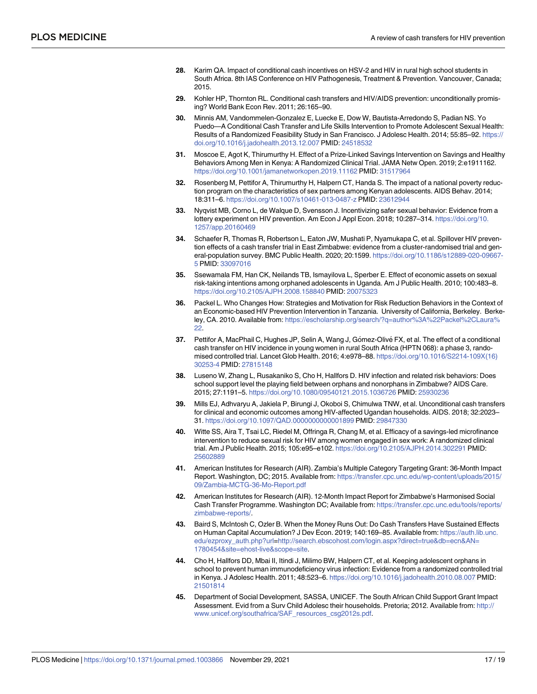- <span id="page-16-0"></span>**[28](#page-5-0).** Karim QA. Impact of conditional cash incentives on HSV-2 and HIV in rural high school students in South Africa. 8th IAS Conference on HIV Pathogenesis, Treatment & Prevention. Vancouver, Canada; 2015.
- **[29](#page-5-0).** Kohler HP, Thornton RL. Conditional cash transfers and HIV/AIDS prevention: unconditionally promising? World Bank Econ Rev. 2011; 26:165–90.
- **[30](#page-11-0).** Minnis AM, Vandommelen-Gonzalez E, Luecke E, Dow W, Bautista-Arredondo S, Padian NS. Yo Puedo—A Conditional Cash Transfer and Life Skills Intervention to Promote Adolescent Sexual Health: Results of a Randomized Feasibility Study in San Francisco. J Adolesc Health. 2014; 55:85–92. [https://](https://doi.org/10.1016/j.jadohealth.2013.12.007) [doi.org/10.1016/j.jadohealth.2013.12.007](https://doi.org/10.1016/j.jadohealth.2013.12.007) PMID: [24518532](http://www.ncbi.nlm.nih.gov/pubmed/24518532)
- **31.** Moscoe E, Agot K, Thirumurthy H. Effect of a Prize-Linked Savings Intervention on Savings and Healthy Behaviors Among Men in Kenya: A Randomized Clinical Trial. JAMA Netw Open. 2019; 2:e1911162. <https://doi.org/10.1001/jamanetworkopen.2019.11162> PMID: [31517964](http://www.ncbi.nlm.nih.gov/pubmed/31517964)
- **32.** Rosenberg M, Pettifor A, Thirumurthy H, Halpern CT, Handa S. The impact of a national poverty reduction program on the characteristics of sex partners among Kenyan adolescents. AIDS Behav. 2014; 18:311–6. <https://doi.org/10.1007/s10461-013-0487-z> PMID: [23612944](http://www.ncbi.nlm.nih.gov/pubmed/23612944)
- **[33](#page-5-0).** Nyqvist MB, Corno L, de Walque D, Svensson J. Incentivizing safer sexual behavior: Evidence from a lottery experiment on HIV prevention. Am Econ J Appl Econ. 2018; 10:287–314. [https://doi.org/10.](https://doi.org/10.1257/app.20160469) [1257/app.20160469](https://doi.org/10.1257/app.20160469)
- **34.** Schaefer R, Thomas R, Robertson L, Eaton JW, Mushati P, Nyamukapa C, et al. Spillover HIV prevention effects of a cash transfer trial in East Zimbabwe: evidence from a cluster-randomised trial and general-population survey. BMC Public Health. 2020; 20:1599. [https://doi.org/10.1186/s12889-020-09667-](https://doi.org/10.1186/s12889-020-09667-5) [5](https://doi.org/10.1186/s12889-020-09667-5) PMID: [33097016](http://www.ncbi.nlm.nih.gov/pubmed/33097016)
- **35.** Ssewamala FM, Han CK, Neilands TB, Ismayilova L, Sperber E. Effect of economic assets on sexual risk-taking intentions among orphaned adolescents in Uganda. Am J Public Health. 2010; 100:483–8. <https://doi.org/10.2105/AJPH.2008.158840> PMID: [20075323](http://www.ncbi.nlm.nih.gov/pubmed/20075323)
- **36.** Packel L. Who Changes How: Strategies and Motivation for Risk Reduction Behaviors in the Context of an Economic-based HIV Prevention Intervention in Tanzania. University of California, Berkeley. Berkeley, CA. 2010. Available from: [https://escholarship.org/search/?q=author%3A%22Packel%2CLaura%](https://escholarship.org/search/?q=author%3A%22Packel%2CLaura%22) [22](https://escholarship.org/search/?q=author%3A%22Packel%2CLaura%22).
- **[37](#page-5-0).** Pettifor A, MacPhail C, Hughes JP, Selin A, Wang J, Gómez-Olivé FX, et al. The effect of a conditional cash transfer on HIV incidence in young women in rural South Africa (HPTN 068): a phase 3, randomised controlled trial. Lancet Glob Health. 2016; 4:e978–88. [https://doi.org/10.1016/S2214-109X\(16\)](https://doi.org/10.1016/S2214-109X%2816%2930253-4) [30253-4](https://doi.org/10.1016/S2214-109X%2816%2930253-4) PMID: [27815148](http://www.ncbi.nlm.nih.gov/pubmed/27815148)
- **38.** Luseno W, Zhang L, Rusakaniko S, Cho H, Hallfors D. HIV infection and related risk behaviors: Does school support level the playing field between orphans and nonorphans in Zimbabwe? AIDS Care. 2015; 27:1191–5. <https://doi.org/10.1080/09540121.2015.1036726> PMID: [25930236](http://www.ncbi.nlm.nih.gov/pubmed/25930236)
- **39.** Mills EJ, Adhvaryu A, Jakiela P, Birungi J, Okoboi S, Chimulwa TNW, et al. Unconditional cash transfers for clinical and economic outcomes among HIV-affected Ugandan households. AIDS. 2018; 32:2023– 31. <https://doi.org/10.1097/QAD.0000000000001899> PMID: [29847330](http://www.ncbi.nlm.nih.gov/pubmed/29847330)
- **[40](#page-10-0).** Witte SS, Aira T, Tsai LC, Riedel M, Offringa R, Chang M, et al. Efficacy of a savings-led microfinance intervention to reduce sexual risk for HIV among women engaged in sex work: A randomized clinical trial. Am J Public Health. 2015; 105:e95–e102. <https://doi.org/10.2105/AJPH.2014.302291> PMID: [25602889](http://www.ncbi.nlm.nih.gov/pubmed/25602889)
- **[41](#page-10-0).** American Institutes for Research (AIR). Zambia's Multiple Category Targeting Grant: 36-Month Impact Report. Washington, DC; 2015. Available from: [https://transfer.cpc.unc.edu/wp-content/uploads/2015/](https://transfer.cpc.unc.edu/wp-content/uploads/2015/09/Zambia-MCTG-36-Mo-Report.pdf) [09/Zambia-MCTG-36-Mo-Report.pdf](https://transfer.cpc.unc.edu/wp-content/uploads/2015/09/Zambia-MCTG-36-Mo-Report.pdf)
- **42.** American Institutes for Research (AIR). 12-Month Impact Report for Zimbabwe's Harmonised Social Cash Transfer Programme. Washington DC; Available from: [https://transfer.cpc.unc.edu/tools/reports/](https://transfer.cpc.unc.edu/tools/reports/zimbabwe-reports/) [zimbabwe-reports/](https://transfer.cpc.unc.edu/tools/reports/zimbabwe-reports/).
- **[43](#page-11-0).** Baird S, McIntosh C, Ozler B. When the Money Runs Out: Do Cash Transfers Have Sustained Effects on Human Capital Accumulation? J Dev Econ. 2019; 140:169–85. Available from: [https://auth.lib.unc.](https://auth.lib.unc.edu/ezproxy_auth.php?url) [edu/ezproxy\\_auth.php?url](https://auth.lib.unc.edu/ezproxy_auth.php?url)[=http://search.ebscohost.com/login.aspx?direct=true&db=ecn&AN=](http://search.ebscohost.com/login.aspx?direct=true&db=ecn&AN=1780454&site=ehost-live&scope=site) [1780454&site=ehost-live&scope=site.](http://search.ebscohost.com/login.aspx?direct=true&db=ecn&AN=1780454&site=ehost-live&scope=site)
- **44.** Cho H, Hallfors DD, Mbai II, Itindi J, Milimo BW, Halpern CT, et al. Keeping adolescent orphans in school to prevent human immunodeficiency virus infection: Evidence from a randomized controlled trial in Kenya. J Adolesc Health. 2011; 48:523–6. <https://doi.org/10.1016/j.jadohealth.2010.08.007> PMID: [21501814](http://www.ncbi.nlm.nih.gov/pubmed/21501814)
- **[45](#page-11-0).** Department of Social Development, SASSA, UNICEF. The South African Child Support Grant Impact Assessment. Evid from a Surv Child Adolesc their households. Pretoria; 2012. Available from: [http://](http://www.unicef.org/southafrica/SAF_resources_csg2012s.pdf) [www.unicef.org/southafrica/SAF\\_resources\\_csg2012s.pdf.](http://www.unicef.org/southafrica/SAF_resources_csg2012s.pdf)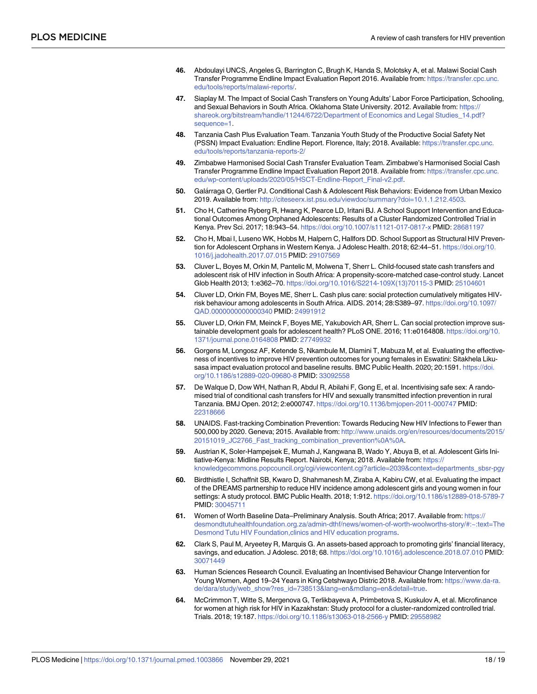- <span id="page-17-0"></span>**[46](#page-10-0).** Abdoulayi UNCS, Angeles G, Barrington C, Brugh K, Handa S, Molotsky A, et al. Malawi Social Cash Transfer Programme Endline Impact Evaluation Report 2016. Available from: [https://transfer.cpc.unc.](https://transfer.cpc.unc.edu/tools/reports/malawi-reports/) [edu/tools/reports/malawi-reports/.](https://transfer.cpc.unc.edu/tools/reports/malawi-reports/)
- **[47](#page-11-0).** Siaplay M. The Impact of Social Cash Transfers on Young Adults' Labor Force Participation, Schooling, and Sexual Behaviors in South Africa. Oklahoma State University. 2012. Available from: [https://](https://shareok.org/bitstream/handle/11244/6722/Department of Economics and Legal Studies_14.pdf?sequence=1) [shareok.org/bitstream/handle/11244/6722/Department](https://shareok.org/bitstream/handle/11244/6722/Department of Economics and Legal Studies_14.pdf?sequence=1) of Economics and Legal Studies\_14.pdf? [sequence=1.](https://shareok.org/bitstream/handle/11244/6722/Department of Economics and Legal Studies_14.pdf?sequence=1)
- **48.** Tanzania Cash Plus Evaluation Team. Tanzania Youth Study of the Productive Social Safety Net (PSSN) Impact Evaluation: Endline Report. Florence, Italy; 2018. Available: [https://transfer.cpc.unc.](https://transfer.cpc.unc.edu/tools/reports/tanzania-reports-2/) [edu/tools/reports/tanzania-reports-2/](https://transfer.cpc.unc.edu/tools/reports/tanzania-reports-2/)
- **[49](#page-11-0).** Zimbabwe Harmonised Social Cash Transfer Evaluation Team. Zimbabwe's Harmonised Social Cash Transfer Programme Endline Impact Evaluation Report 2018. Available from: [https://transfer.cpc.unc.](https://transfer.cpc.unc.edu/wp-content/uploads/2020/05/HSCT-Endline-Report_Final-v2.pdf) [edu/wp-content/uploads/2020/05/HSCT-Endline-Report\\_Final-v2.pdf.](https://transfer.cpc.unc.edu/wp-content/uploads/2020/05/HSCT-Endline-Report_Final-v2.pdf)
- **50.** Gala´rraga O, Gertler PJ. Conditional Cash & Adolescent Risk Behaviors: Evidence from Urban Mexico 2019. Available from: <http://citeseerx.ist.psu.edu/viewdoc/summary?doi=10.1.1.212.4503>.
- **51.** Cho H, Catherine Ryberg R, Hwang K, Pearce LD, Iritani BJ. A School Support Intervention and Educational Outcomes Among Orphaned Adolescents: Results of a Cluster Randomized Controlled Trial in Kenya. Prev Sci. 2017; 18:943–54. <https://doi.org/10.1007/s11121-017-0817-x> PMID: [28681197](http://www.ncbi.nlm.nih.gov/pubmed/28681197)
- **[52](#page-7-0).** Cho H, Mbai I, Luseno WK, Hobbs M, Halpern C, Hallfors DD. School Support as Structural HIV Prevention for Adolescent Orphans in Western Kenya. J Adolesc Health. 2018; 62:44–51. [https://doi.org/10.](https://doi.org/10.1016/j.jadohealth.2017.07.015) [1016/j.jadohealth.2017.07.015](https://doi.org/10.1016/j.jadohealth.2017.07.015) PMID: [29107569](http://www.ncbi.nlm.nih.gov/pubmed/29107569)
- **[53](#page-10-0).** Cluver L, Boyes M, Orkin M, Pantelic M, Molwena T, Sherr L. Child-focused state cash transfers and adolescent risk of HIV infection in South Africa: A propensity-score-matched case-control study. Lancet Glob Health 2013; 1:e362–70. [https://doi.org/10.1016/S2214-109X\(13\)70115-3](https://doi.org/10.1016/S2214-109X%2813%2970115-3) PMID: [25104601](http://www.ncbi.nlm.nih.gov/pubmed/25104601)
- **[54](#page-11-0).** Cluver LD, Orkin FM, Boyes ME, Sherr L. Cash plus care: social protection cumulatively mitigates HIVrisk behaviour among adolescents in South Africa. AIDS. 2014; 28:S389–97. [https://doi.org/10.1097/](https://doi.org/10.1097/QAD.0000000000000340) [QAD.0000000000000340](https://doi.org/10.1097/QAD.0000000000000340) PMID: [24991912](http://www.ncbi.nlm.nih.gov/pubmed/24991912)
- **[55](#page-4-0).** Cluver LD, Orkin FM, Meinck F, Boyes ME, Yakubovich AR, Sherr L. Can social protection improve sustainable development goals for adolescent health? PLoS ONE. 2016; 11:e0164808. [https://doi.org/10.](https://doi.org/10.1371/journal.pone.0164808) [1371/journal.pone.0164808](https://doi.org/10.1371/journal.pone.0164808) PMID: [27749932](http://www.ncbi.nlm.nih.gov/pubmed/27749932)
- **[56](#page-5-0).** Gorgens M, Longosz AF, Ketende S, Nkambule M, Dlamini T, Mabuza M, et al. Evaluating the effectiveness of incentives to improve HIV prevention outcomes for young females in Eswatini: Sitakhela Likusasa impact evaluation protocol and baseline results. BMC Public Health. 2020; 20:1591. [https://doi.](https://doi.org/10.1186/s12889-020-09680-8) [org/10.1186/s12889-020-09680-8](https://doi.org/10.1186/s12889-020-09680-8) PMID: [33092558](http://www.ncbi.nlm.nih.gov/pubmed/33092558)
- **[57](#page-7-0).** De Walque D, Dow WH, Nathan R, Abdul R, Abilahi F, Gong E, et al. Incentivising safe sex: A randomised trial of conditional cash transfers for HIV and sexually transmitted infection prevention in rural Tanzania. BMJ Open. 2012; 2:e000747. <https://doi.org/10.1136/bmjopen-2011-000747> PMID: [22318666](http://www.ncbi.nlm.nih.gov/pubmed/22318666)
- **[58](#page-11-0).** UNAIDS. Fast-tracking Combination Prevention: Towards Reducing New HIV Infections to Fewer than 500,000 by 2020. Geneva; 2015. Available from: [http://www.unaids.org/en/resources/documents/2015/](http://www.unaids.org/en/resources/documents/2015/20151019_JC2766_Fast_tracking_combination_prevention%0A%0A) [20151019\\_JC2766\\_Fast\\_tracking\\_combination\\_prevention%0A%0A.](http://www.unaids.org/en/resources/documents/2015/20151019_JC2766_Fast_tracking_combination_prevention%0A%0A)
- **[59](#page-11-0).** Austrian K, Soler-Hampejsek E, Mumah J, Kangwana B, Wado Y, Abuya B, et al. Adolescent Girls Initiative-Kenya: Midline Results Report. Nairobi, Kenya; 2018. Available from: [https://](https://knowledgecommons.popcouncil.org/cgi/viewcontent.cgi?article=2039&context=departments_sbsr-pgy) [knowledgecommons.popcouncil.org/cgi/viewcontent.cgi?article=2039&context=departments\\_sbsr-pgy](https://knowledgecommons.popcouncil.org/cgi/viewcontent.cgi?article=2039&context=departments_sbsr-pgy)
- **60.** Birdthistle I, Schaffnit SB, Kwaro D, Shahmanesh M, Ziraba A, Kabiru CW, et al. Evaluating the impact of the DREAMS partnership to reduce HIV incidence among adolescent girls and young women in four settings: A study protocol. BMC Public Health. 2018; 1:912. <https://doi.org/10.1186/s12889-018-5789-7> PMID: [30045711](http://www.ncbi.nlm.nih.gov/pubmed/30045711)
- **61.** Women of Worth Baseline Data–Preliminary Analysis. South Africa; 2017. Available from: [https://](https://desmondtutuhealthfoundation.org.za/admin-dthf/news/women-of-worth-woolworths-story/#:~:text=The Desmond Tutu HIV Foundation,clinics and HIV education programs) [desmondtutuhealthfoundation.org.za/admin-dthf/news/women-of-worth-woolworths-story/#:~:text=The](https://desmondtutuhealthfoundation.org.za/admin-dthf/news/women-of-worth-woolworths-story/#:~:text=The Desmond Tutu HIV Foundation,clinics and HIV education programs) Desmond Tutu HIV [Foundation,clinics](https://desmondtutuhealthfoundation.org.za/admin-dthf/news/women-of-worth-woolworths-story/#:~:text=The Desmond Tutu HIV Foundation,clinics and HIV education programs) and HIV education programs.
- **62.** Clark S, Paul M, Aryeetey R, Marquis G. An assets-based approach to promoting girls' financial literacy, savings, and education. J Adolesc. 2018; 68. <https://doi.org/10.1016/j.adolescence.2018.07.010> PMID: [30071449](http://www.ncbi.nlm.nih.gov/pubmed/30071449)
- **63.** Human Sciences Research Council. Evaluating an Incentivised Behaviour Change Intervention for Young Women, Aged 19–24 Years in King Cetshwayo Distric 2018. Available from: [https://www.da-ra.](https://www.da-ra.de/dara/study/web_show?res_id=738513&lang=en&mdlang=en&detail=true) [de/dara/study/web\\_show?res\\_id=738513&lang=en&mdlang=en&detail=true.](https://www.da-ra.de/dara/study/web_show?res_id=738513&lang=en&mdlang=en&detail=true)
- **[64](#page-11-0).** McCrimmon T, Witte S, Mergenova G, Terlikbayeva A, Primbetova S, Kuskulov A, et al. Microfinance for women at high risk for HIV in Kazakhstan: Study protocol for a cluster-randomized controlled trial. Trials. 2018; 19:187. <https://doi.org/10.1186/s13063-018-2566-y> PMID: [29558982](http://www.ncbi.nlm.nih.gov/pubmed/29558982)